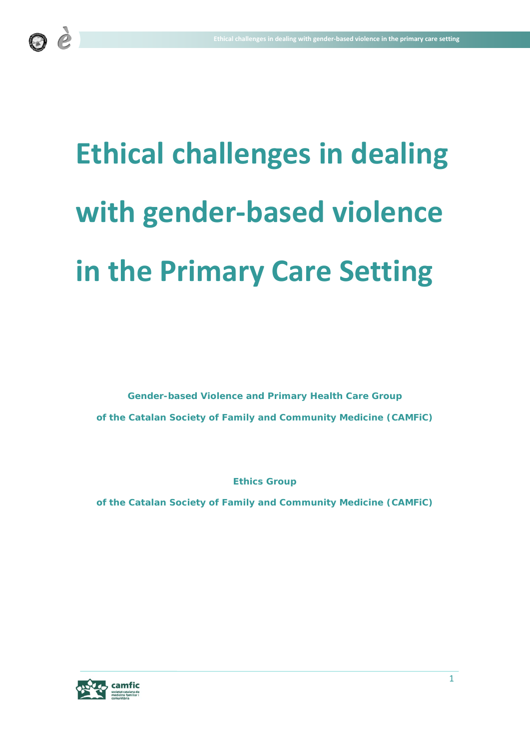

# **Ethical challenges in dealing with gender-based violence in the Primary Care Setting**

**Gender-based Violence and Primary Health Care Group of the Catalan Society of Family and Community Medicine (CAMFiC)**

**Ethics Group**

**of the Catalan Society of Family and Community Medicine (CAMFiC)**

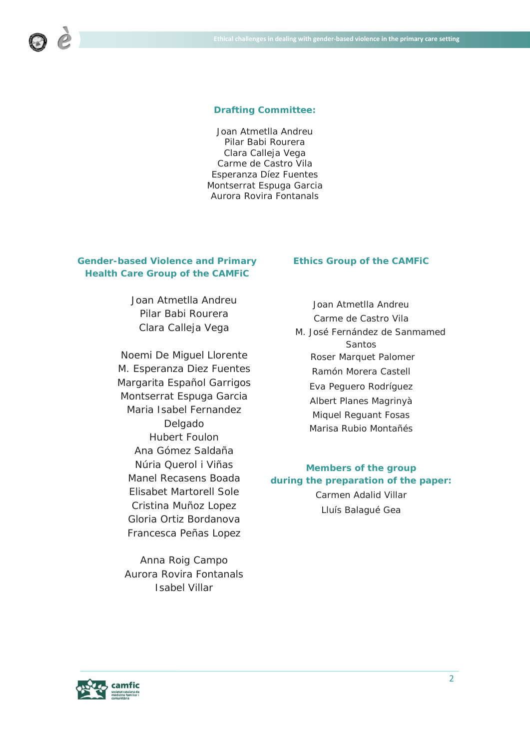#### **Drafting Committee:**

Joan Atmetlla Andreu Pilar Babi Rourera Clara Calleja Vega Carme de Castro Vila Esperanza Díez Fuentes Montserrat Espuga Garcia Aurora Rovira Fontanals

# **Gender-based Violence and Primary Health Care Group of the CAMFiC**

Joan Atmetlla Andreu Pilar Babi Rourera Clara Calleja Vega

Noemi De Miguel Llorente M. Esperanza Diez Fuentes Margarita Español Garrigos Montserrat Espuga Garcia Maria Isabel Fernandez Delgado Hubert Foulon Ana Gómez Saldaña Núria Querol i Viñas Manel Recasens Boada Elisabet Martorell Sole Cristina Muñoz Lopez Gloria Ortiz Bordanova Francesca Peñas Lopez

Anna Roig Campo Aurora Rovira Fontanals Isabel Villar

# **Ethics Group of the CAMFiC**

Joan Atmetlla Andreu Carme de Castro Vila M. José Fernández de Sanmamed **Santos** Roser Marquet Palomer Ramón Morera Castell Eva Peguero Rodríguez Albert Planes Magrinyà Miquel Reguant Fosas Marisa Rubio Montañés

# **Members of the group during the preparation of the paper:** Carmen Adalid Villar Lluís Balagué Gea

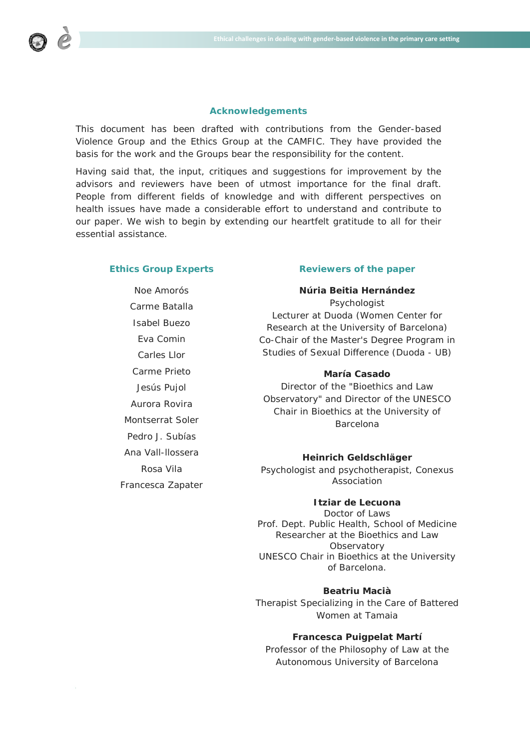

#### **Acknowledgements**

This document has been drafted with contributions from the Gender-based Violence Group and the Ethics Group at the CAMFIC. They have provided the basis for the work and the Groups bear the responsibility for the content.

Having said that, the input, critiques and suggestions for improvement by the advisors and reviewers have been of utmost importance for the final draft. People from different fields of knowledge and with different perspectives on health issues have made a considerable effort to understand and contribute to our paper. We wish to begin by extending our heartfelt gratitude to all for their essential assistance.

## **Ethics Group Experts**

Noe Amorós Carme Batalla Isabel Buezo Eva Comin Carles Llor Carme Prieto Jesús Pujol Aurora Rovira Montserrat Soler Pedro J. Subías Ana Vall-llossera Rosa Vila Francesca Zapater

#### **Reviewers of the paper**

**Núria Beitia Hernández**

*Psychologist Lecturer at Duoda (Women Center for Research at the University of Barcelona) Co-Chair of the Master's Degree Program in Studies of Sexual Difference (Duoda - UB)*

## **María Casado**

*Director of the "Bioethics and Law Observatory" and Director of the UNESCO Chair in Bioethics at the University of Barcelona*

#### **Heinrich Geldschläger**

*Psychologist and psychotherapist, Conexus Association*

## **Itziar de Lecuona**

*Doctor of Laws Prof. Dept. Public Health, School of Medicine Researcher at the Bioethics and Law Observatory UNESCO Chair in Bioethics at the University of Barcelona.*

# **Beatriu Macià**

*Therapist Specializing in the Care of Battered Women at Tamaia*

# **Francesca Puigpelat Martí**

*Professor of the Philosophy of Law at the Autonomous University of Barcelona*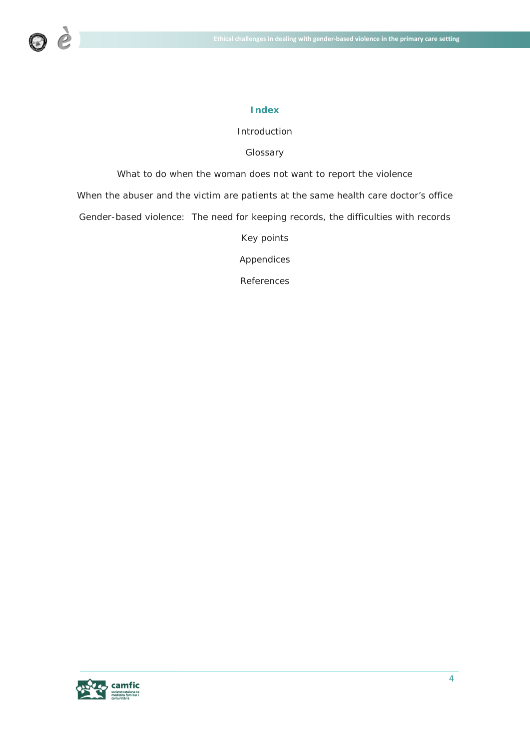

#### **Index**

# Introduction

# Glossary

What to do when the woman does not want to report the violence

When the abuser and the victim are patients at the same health care doctor's office

Gender-based violence: The need for keeping records, the difficulties with records

Key points

Appendices

References

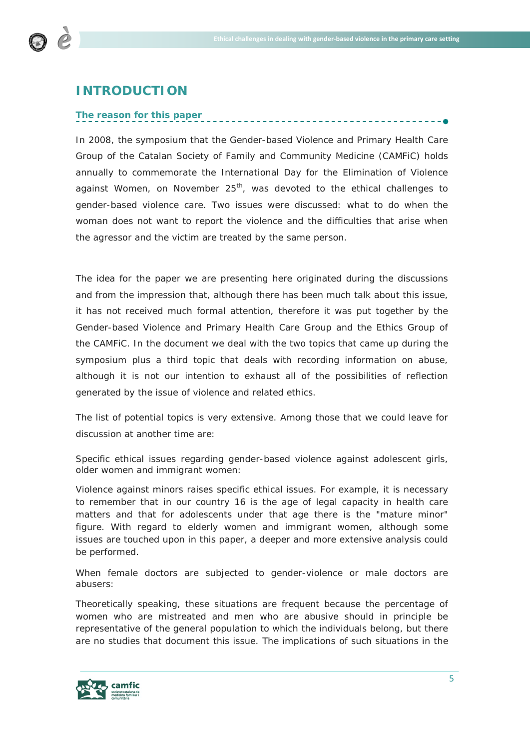

# **INTRODUCTION**

# *The reason for this paper*

In 2008, the symposium that the Gender-based Violence and Primary Health Care Group of the Catalan Society of Family and Community Medicine (CAMFiC) holds annually to commemorate the International Day for the Elimination of Violence against Women, on November  $25<sup>th</sup>$ , was devoted to the ethical challenges to gender-based violence care. Two issues were discussed: what to do when the woman does not want to report the violence and the difficulties that arise when the agressor and the victim are treated by the same person.

The idea for the paper we are presenting here originated during the discussions and from the impression that, although there has been much talk about this issue, it has not received much formal attention, therefore it was put together by the Gender-based Violence and Primary Health Care Group and the Ethics Group of the CAMFiC. In the document we deal with the two topics that came up during the symposium plus a third topic that deals with recording information on abuse, although it is not our intention to exhaust all of the possibilities of reflection generated by the issue of violence and related ethics.

The list of potential topics is very extensive. Among those that we could leave for discussion at another time are:

# *Specific ethical issues regarding gender-based violence against adolescent girls, older women and immigrant women:*

Violence against minors raises specific ethical issues. For example, it is necessary to remember that in our country 16 is the age of legal capacity in health care matters and that for adolescents under that age there is the "mature minor" figure. With regard to elderly women and immigrant women, although some issues are touched upon in this paper, a deeper and more extensive analysis could be performed.

When female doctors are subjected to gender-violence or male doctors are *abusers*:

Theoretically speaking, these situations are frequent because the percentage of women who are mistreated and men who are abusive should in principle be representative of the general population to which the individuals belong, but there are no studies that document this issue. The implications of such situations in the

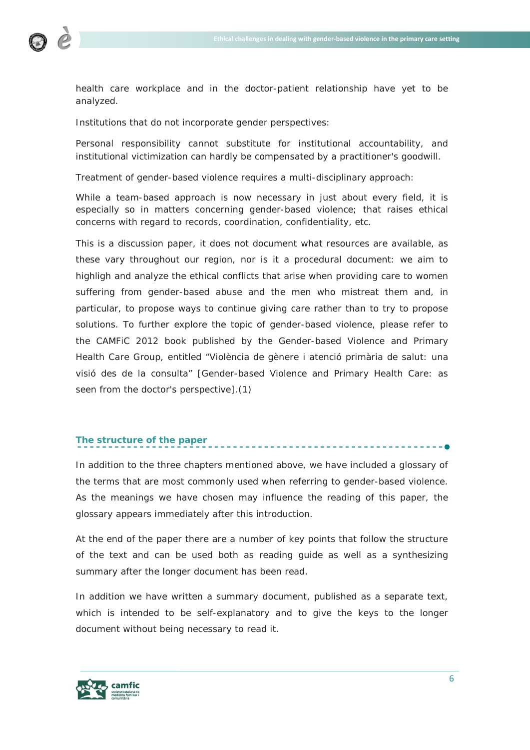

health care workplace and in the doctor-patient relationship have yet to be analyzed.

*Institutions that do not incorporate gender perspectives:*

Personal responsibility cannot substitute for institutional accountability, and institutional victimization can hardly be compensated by a practitioner's goodwill.

*Treatment of gender-based violence requires a multi-disciplinary approach:*

While a team-based approach is now necessary in just about every field, it is especially so in matters concerning gender-based violence; that raises ethical concerns with regard to records, coordination, confidentiality, etc.

This is a discussion paper, it does not document what resources are available, as these vary throughout our region, nor is it a procedural document: we aim to highligh and analyze the ethical conflicts that arise when providing care to women suffering from gender-based abuse and the men who mistreat them and, in particular, to propose ways to continue giving care rather than to try to propose solutions. To further explore the topic of gender-based violence, please refer to the CAMFiC 2012 book published by the Gender-based Violence and Primary Health Care Group, entitled "Violència de gènere i atenció primària de salut: una visió des de la consulta" [*Gender-based Violence and Primary Health Care: as seen from the doctor's perspective*].(1)

# *The structure of the paper*

In addition to the three chapters mentioned above, we have included a glossary of the terms that are most commonly used when referring to gender-based violence. As the meanings we have chosen may influence the reading of this paper, the glossary appears immediately after this introduction.

At the end of the paper there are a number of key points that follow the structure of the text and can be used both as reading guide as well as a synthesizing summary after the longer document has been read.

In addition we have written a summary document, published as a separate text, which is intended to be self-explanatory and to give the keys to the longer document without being necessary to read it.

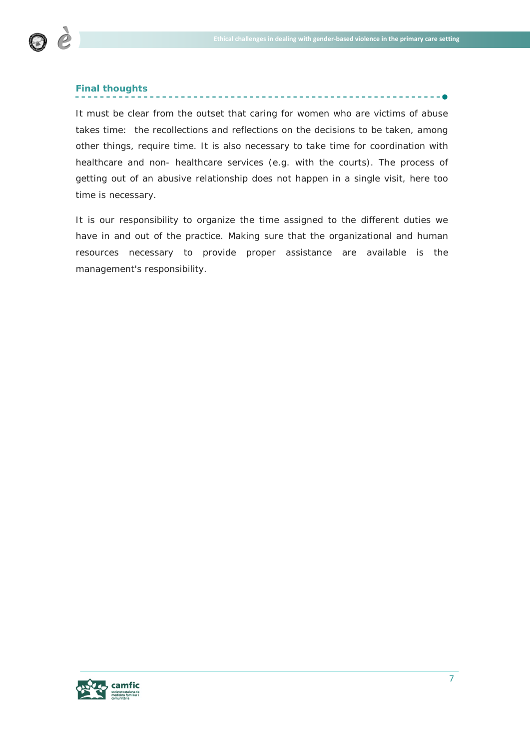

# *Final thoughts*

It must be clear from the outset that caring for women who are victims of abuse takes time: the recollections and reflections on the decisions to be taken, among other things, require time. It is also necessary to take time for coordination with healthcare and non- healthcare services (e.g. with the courts). The process of getting out of an abusive relationship does not happen in a single visit, here too time is necessary.

It is our responsibility to organize the time assigned to the different duties we have in and out of the practice. Making sure that the organizational and human resources necessary to provide proper assistance are available is the management's responsibility.

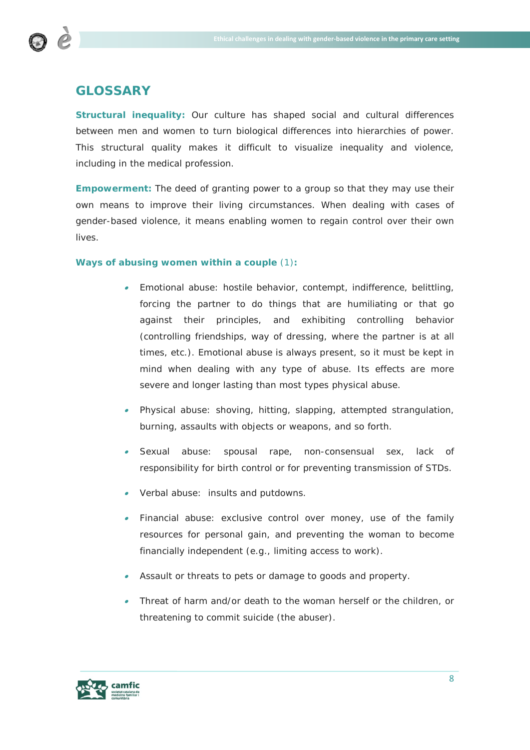

# **GLOSSARY**

**Structural inequality:** Our culture has shaped social and cultural differences between men and women to turn biological differences into hierarchies of power. This structural quality makes it difficult to visualize inequality and violence, including in the medical profession.

**Empowerment:** The deed of granting power to a group so that they may use their own means to improve their living circumstances. When dealing with cases of gender-based violence, it means enabling women to regain control over their own lives.

# **Ways of abusing women within a couple** (1)**:**

- • Emotional abuse: hostile behavior, contempt, indifference, belittling, forcing the partner to do things that are humiliating or that go against their principles, and exhibiting controlling behavior (controlling friendships, way of dressing, where the partner is at all times, etc.). Emotional abuse is always present, so it must be kept in mind when dealing with any type of abuse. Its effects are more severe and longer lasting than most types physical abuse.
- Physical abuse: shoving, hitting, slapping, attempted strangulation, burning, assaults with objects or weapons, and so forth.
- • Sexual abuse: spousal rape, non-consensual sex, lack of responsibility for birth control or for preventing transmission of STDs.
- •Verbal abuse: insults and putdowns.
- Financial abuse: exclusive control over money, use of the family resources for personal gain, and preventing the woman to become financially independent (e.g., limiting access to work).
- Assault or threats to pets or damage to goods and property.
- • Threat of harm and/or death to the woman herself or the children, or threatening to commit suicide (the abuser).

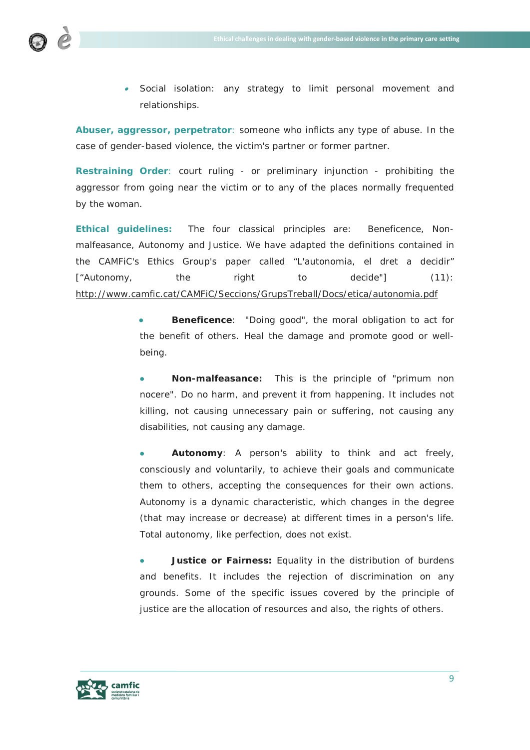

• Social isolation: any strategy to limit personal movement and relationships.

**Abuser, aggressor, perpetrator**: someone who inflicts any type of abuse. In the case of gender-based violence, the victim's partner or former partner.

**Restraining Order**: court ruling - or preliminary injunction - prohibiting the aggressor from going near the victim or to any of the places normally frequented by the woman.

**Ethical guidelines:** The four classical principles are: Beneficence, Nonmalfeasance, Autonomy and Justice. We have adapted the definitions contained in the CAMFiC's Ethics Group's paper called "L'autonomia, el dret a decidir" ["*Autonomy, the right to decide*"] (11): <http://www.camfic.cat/CAMFiC/Seccions/GrupsTreball/Docs/etica/autonomia.pdf>

> • **Beneficence**: "Doing good", the moral obligation to act for the benefit of others. Heal the damage and promote good or wellbeing.

> • **Non-malfeasance:** This is the principle of "primum non nocere". Do no harm, and prevent it from happening. It includes not killing, not causing unnecessary pain or suffering, not causing any disabilities, not causing any damage.

> • **Autonomy**: A person's ability to think and act freely, consciously and voluntarily, to achieve their goals and communicate them to others, accepting the consequences for their own actions. Autonomy is a dynamic characteristic, which changes in the degree (that may increase or decrease) at different times in a person's life. Total autonomy, like perfection, does not exist.

> **Justice or Fairness:** Equality in the distribution of burdens and benefits. It includes the rejection of discrimination on any grounds. Some of the specific issues covered by the principle of justice are the allocation of resources and also, the rights of others.

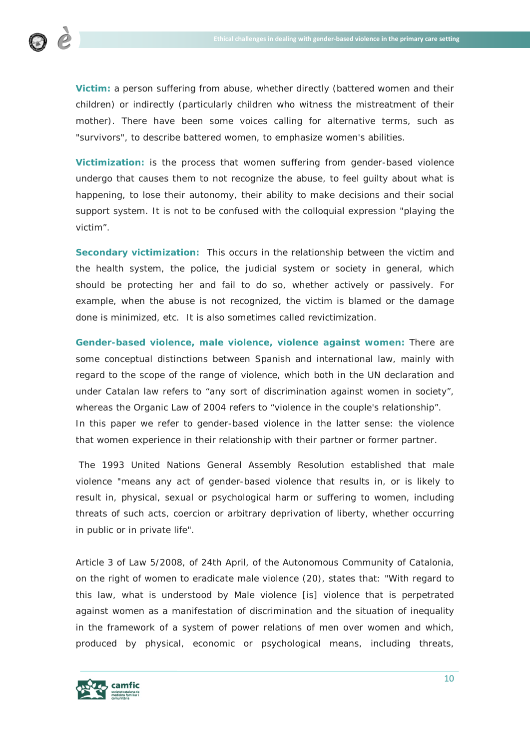

**Victim:** a person suffering from abuse, whether directly (battered women and their children) or indirectly (particularly children who witness the mistreatment of their mother). There have been some voices calling for alternative terms, such as "survivors", to describe battered women, to emphasize women's abilities.

**Victimization:** is the process that women suffering from gender-based violence undergo that causes them to not recognize the abuse, to feel guilty about what is happening, to lose their autonomy, their ability to make decisions and their social support system. It is not to be confused with the colloquial expression "playing the victim".

**Secondary victimization:** This occurs in the relationship between the victim and the health system, the police, the judicial system or society in general, which should be protecting her and fail to do so, whether actively or passively. For example, when the abuse is not recognized, the victim is blamed or the damage done is minimized, etc. It is also sometimes called revictimization.

**Gender-based violence, male violence, violence against women:** There are some conceptual distinctions between Spanish and international law, mainly with regard to the scope of the range of violence, which both in the UN declaration and under Catalan law refers to "any sort of discrimination against women in society", whereas the Organic Law of 2004 refers to "violence in the couple's relationship". In this paper we refer to gender-based violence in the latter sense: the violence that women experience in their relationship with their partner or former partner.

The 1993 United Nations General Assembly Resolution established that male violence "means any act of gender-based violence that results in, or is likely to result in, physical, sexual or psychological harm or suffering to women, including threats of such acts, coercion or arbitrary deprivation of liberty, whether occurring in public or in private life".

Article 3 of Law 5/2008, of 24th April, of the Autonomous Community of Catalonia, on the right of women to eradicate male violence (20), states that: "With regard to this law, what is understood by *Male violence* [is] violence that is perpetrated against women as a manifestation of discrimination and the situation of inequality in the framework of a system of power relations of men over women and which, produced by physical, economic or psychological means, including threats,

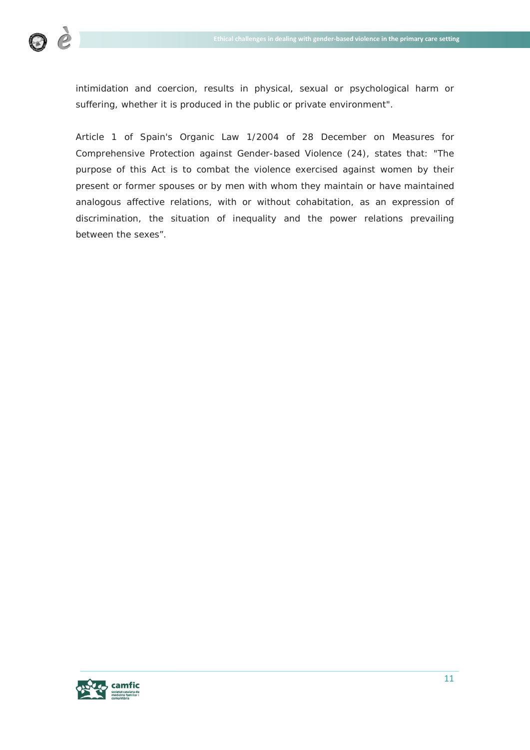

intimidation and coercion, results in physical, sexual or psychological harm or suffering, whether it is produced in the public or private environment".

Article 1 of Spain's Organic Law 1/2004 of 28 December on Measures for Comprehensive Protection against Gender-based Violence (24), states that: "The purpose of this Act is to combat the violence exercised against women by their present or former spouses or by men with whom they maintain or have maintained analogous affective relations, with or without cohabitation, as an expression of discrimination, the situation of inequality and the power relations prevailing between the sexes".

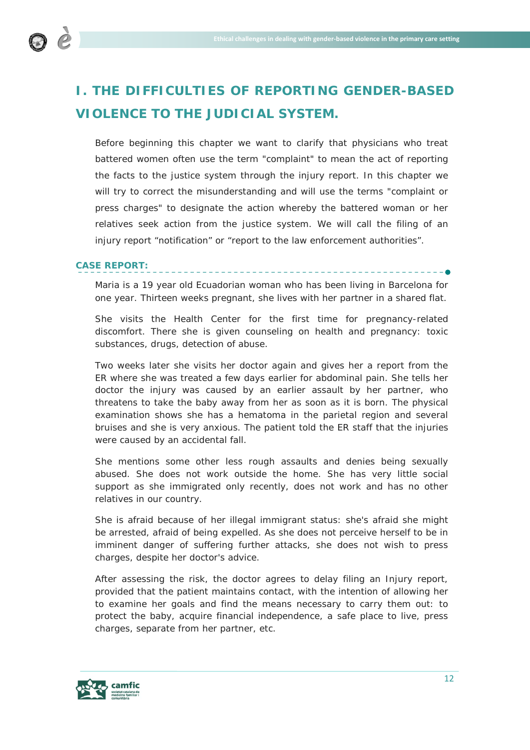

# **I. THE DIFFICULTIES OF REPORTING GENDER-BASED VIOLENCE TO THE JUDICIAL SYSTEM.**

Before beginning this chapter we want to clarify that physicians who treat battered women often use the term "complaint" to mean the act of reporting the facts to the justice system through the injury report. In this chapter we will try to correct the misunderstanding and will use the terms "complaint or press charges" to designate the action whereby the battered woman or her relatives seek action from the justice system. We will call the filing of an injury report "notification" or "report to the law enforcement authorities".

# **CASE REPORT:**

Maria is a 19 year old Ecuadorian woman who has been living in Barcelona for one year. Thirteen weeks pregnant, she lives with her partner in a shared flat.

She visits the Health Center for the first time for pregnancy-related discomfort. There she is given counseling on health and pregnancy: toxic substances, drugs, detection of abuse.

Two weeks later she visits her doctor again and gives her a report from the ER where she was treated a few days earlier for abdominal pain. She tells her doctor the injury was caused by an earlier assault by her partner, who threatens to take the baby away from her as soon as it is born. The physical examination shows she has a hematoma in the parietal region and several bruises and she is very anxious. The patient told the ER staff that the injuries were caused by an accidental fall.

She mentions some other less rough assaults and denies being sexually abused. She does not work outside the home. She has very little social support as she immigrated only recently, does not work and has no other relatives in our country.

She is afraid because of her illegal immigrant status: she's afraid she might be arrested, afraid of being expelled. As she does not perceive herself to be in imminent danger of suffering further attacks, she does not wish to press charges, despite her doctor's advice.

After assessing the risk, the doctor agrees to delay filing an Injury report, provided that the patient maintains contact, with the intention of allowing her to examine her goals and find the means necessary to carry them out: to protect the baby, acquire financial independence, a safe place to live, press charges, separate from her partner, etc.

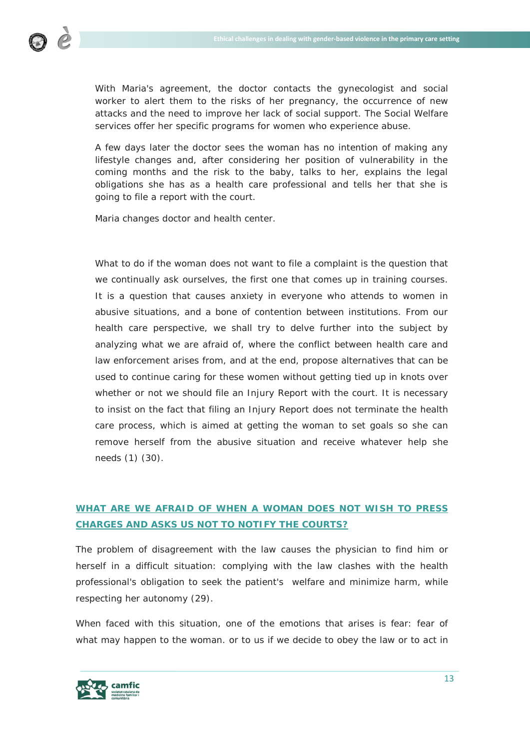

With Maria's agreement, the doctor contacts the gynecologist and social worker to alert them to the risks of her pregnancy, the occurrence of new attacks and the need to improve her lack of social support. The Social Welfare services offer her specific programs for women who experience abuse.

A few days later the doctor sees the woman has no intention of making any lifestyle changes and, after considering her position of vulnerability in the coming months and the risk to the baby, talks to her, explains the legal obligations she has as a health care professional and tells her that she is going to file a report with the court.

Maria changes doctor and health center.

What to do if the woman does not want to file a complaint is the question that we continually ask ourselves, the first one that comes up in training courses. It is a question that causes anxiety in everyone who attends to women in abusive situations, and a bone of contention between institutions. From our health care perspective, we shall try to delve further into the subject by analyzing what we are afraid of, where the conflict between health care and law enforcement arises from, and at the end, propose alternatives that can be used to continue caring for these women without getting tied up in knots over whether or not we should file an Injury Report with the court. It is necessary to insist on the fact that filing an Injury Report does not terminate the health care process, which is aimed at getting the woman to set goals so she can remove herself from the abusive situation and receive whatever help she needs (1) (30).

# **WHAT ARE WE AFRAID OF WHEN A WOMAN DOES NOT WISH TO PRESS CHARGES AND ASKS US NOT TO NOTIFY THE COURTS?**

The problem of disagreement with the law causes the physician to find him or herself in a difficult situation: complying with the law clashes with the health professional's obligation to seek the patient's welfare and minimize harm, while respecting her autonomy (29).

When faced with this situation, one of the emotions that arises is fear: fear of what may happen to the woman. or to us if we decide to obey the law or to act in

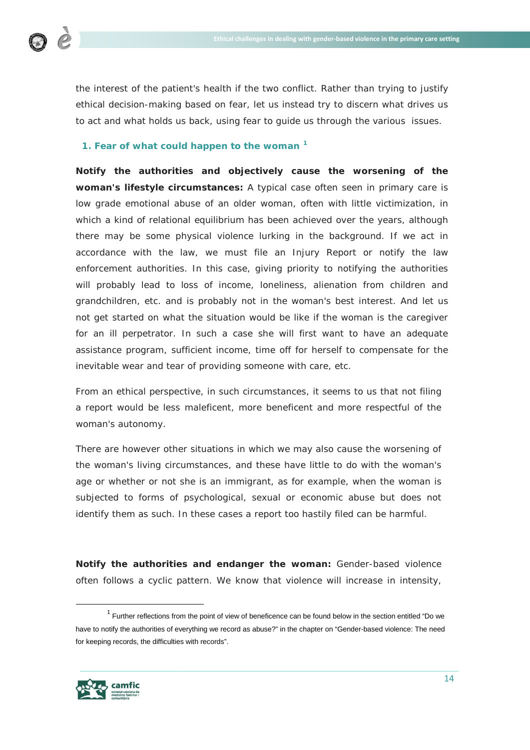

the interest of the patient's health if the two conflict. Rather than trying to justify ethical decision-making based on fear, let us instead try to discern what drives us to act and what holds us back, using fear to guide us through the various issues.

# **1. Fear of what could happen to the woman [1](#page-13-0)**

**Notify the authorities and objectively cause the worsening of the woman's lifestyle circumstances:** A typical case often seen in primary care is low grade emotional abuse of an older woman, often with little victimization, in which a kind of relational equilibrium has been achieved over the years, although there may be some physical violence lurking in the background. If we act in accordance with the law, we must file an Injury Report or notify the law enforcement authorities. In this case, giving priority to notifying the authorities will probably lead to loss of income, loneliness, alienation from children and grandchildren, etc. and is probably not in the woman's best interest. And let us not get started on what the situation would be like if the woman is the caregiver for an ill perpetrator. In such a case she will first want to have an adequate assistance program, sufficient income, time off for herself to compensate for the inevitable wear and tear of providing someone with care, etc.

From an ethical perspective, in such circumstances, it seems to us that not filing a report would be less maleficent, more beneficent and more respectful of the woman's autonomy.

There are however other situations in which we may also cause the worsening of the woman's living circumstances, and these have little to do with the woman's age or whether or not she is an immigrant, as for example, when the woman is subjected to forms of psychological, sexual or economic abuse but does not identify them as such. In these cases a report too hastily filed can be harmful.

**Notify the authorities and endanger the woman:** Gender-based violence often follows a cyclic pattern. We know that violence will increase in intensity,

<span id="page-13-0"></span> $1$  Further reflections from the point of view of beneficence can be found below in the section entitled "Do we have to notify the authorities of everything we record as abuse?" in the chapter on "Gender-based violence: The need for keeping records, the difficulties with records".

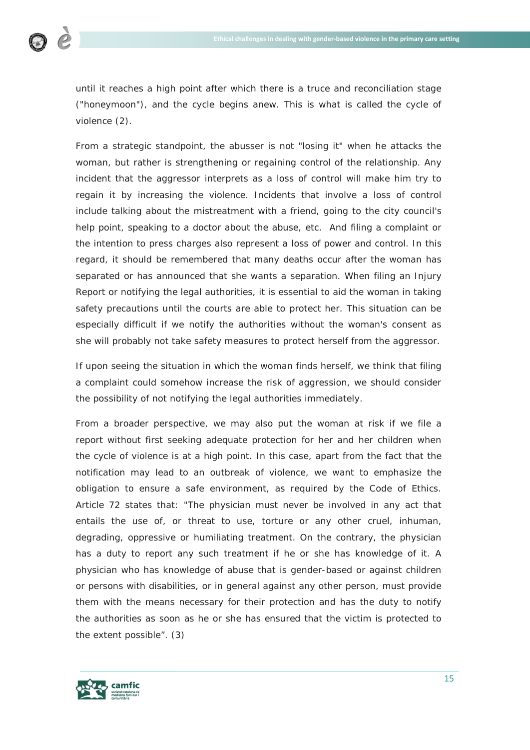

until it reaches a high point after which there is a truce and reconciliation stage ("honeymoon"), and the cycle begins anew. This is what is called the cycle of violence (2).

From a strategic standpoint, the abusser is not "losing it" when he attacks the woman, but rather is strengthening or regaining control of the relationship. Any incident that the aggressor interprets as a loss of control will make him try to regain it by increasing the violence. Incidents that involve a loss of control include talking about the mistreatment with a friend, going to the city council's help point, speaking to a doctor about the abuse, etc. And filing a complaint or the intention to press charges also represent a loss of power and control. In this regard, it should be remembered that many deaths occur after the woman has separated or has announced that she wants a separation. When filing an Injury Report or notifying the legal authorities, it is essential to aid the woman in taking safety precautions until the courts are able to protect her. This situation can be especially difficult if we notify the authorities without the woman's consent as she will probably not take safety measures to protect herself from the aggressor.

If upon seeing the situation in which the woman finds herself, we think that filing a complaint could somehow increase the risk of aggression, we should consider the possibility of not notifying the legal authorities immediately.

From a broader perspective, we may also put the woman at risk if we file a report without first seeking adequate protection for her and her children when the cycle of violence is at a high point. In this case, apart from the fact that the notification may lead to an outbreak of violence, we want to emphasize the obligation to ensure a safe environment, as required by the Code of Ethics. Article 72 states that: *"The physician must never be involved in any act that entails the use of, or threat to use, torture or any other cruel, inhuman, degrading, oppressive or humiliating treatment. On the contrary, the physician has a duty to report any such treatment if he or she has knowledge of it. A physician who has knowledge of abuse that is gender-based or against children or persons with disabilities, or in general against any other person, must provide them with the means necessary for their protection and has the duty to notify the authorities as soon as he or she has ensured that the victim is protected to the extent possible*". (3)

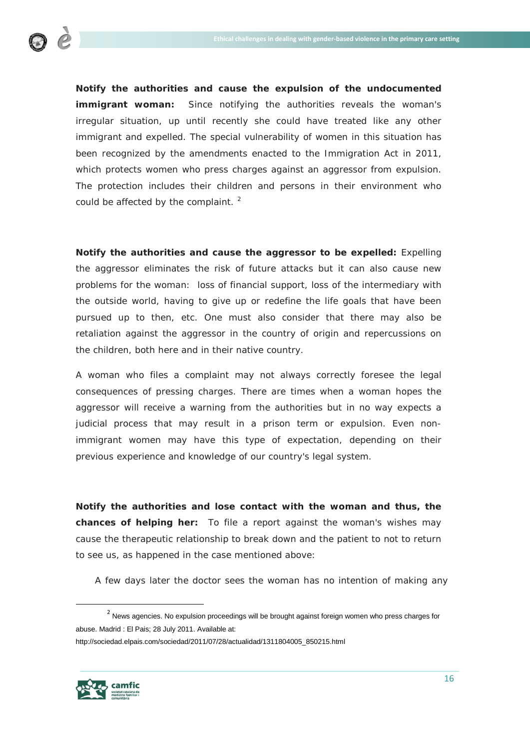

**Notify the authorities and cause the expulsion of the undocumented immigrant woman:** Since notifying the authorities reveals the woman's irregular situation, up until recently she could have treated like any other immigrant and expelled. The special vulnerability of women in this situation has been recognized by the amendments enacted to the Immigration Act in 2011, which protects women who press charges against an aggressor from expulsion. The protection includes their children and persons in their environment who could be affected by the complaint.<sup>[2](#page-15-0)</sup>

**Notify the authorities and cause the aggressor to be expelled:** Expelling the aggressor eliminates the risk of future attacks but it can also cause new problems for the woman: loss of financial support, loss of the intermediary with the outside world, having to give up or redefine the life goals that have been pursued up to then, etc. One must also consider that there may also be retaliation against the aggressor in the country of origin and repercussions on the children, both here and in their native country.

A woman who files a complaint may not always correctly foresee the legal consequences of pressing charges. There are times when a woman hopes the aggressor will receive a warning from the authorities but in no way expects a judicial process that may result in a prison term or expulsion. Even nonimmigrant women may have this type of expectation, depending on their previous experience and knowledge of our country's legal system.

**Notify the authorities and lose contact with the woman and thus, the chances of helping her:** To file a report against the woman's wishes may cause the therapeutic relationship to break down and the patient to not to return to see us, as happened in the case mentioned above:

*A few days later the doctor sees the woman has no intention of making any* 

http://sociedad.elpais.com/sociedad/2011/07/28/actualidad/1311804005\_850215.html



<span id="page-15-0"></span> $2$  News agencies. No expulsion proceedings will be brought against foreign women who press charges for abuse. Madrid : El Pais; 28 July 2011. Available at: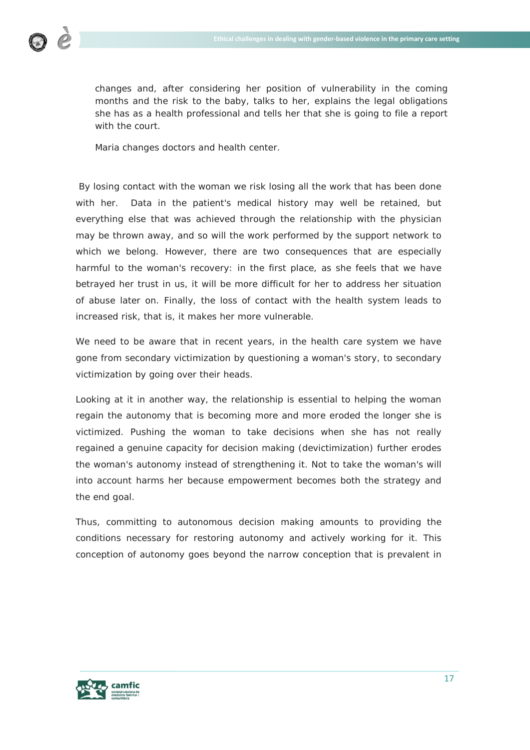

*changes and, after considering her position of vulnerability in the coming months and the risk to the baby, talks to her, explains the legal obligations she has as a health professional and tells her that she is going to file a report with the court.*

*Maria changes doctors and health center.*

By losing contact with the woman we risk losing all the work that has been done with her. Data in the patient's medical history may well be retained, but everything else that was achieved through the relationship with the physician may be thrown away, and so will the work performed by the support network to which we belong. However, there are two consequences that are especially harmful to the woman's recovery: in the first place, as she feels that we have betrayed her trust in us, it will be more difficult for her to address her situation of abuse later on. Finally, the loss of contact with the health system leads to increased risk, that is, it makes her more vulnerable.

We need to be aware that in recent years, in the health care system we have gone from secondary victimization by questioning a woman's story, to secondary victimization by going over their heads.

Looking at it in another way, the relationship is essential to helping the woman regain the autonomy that is becoming more and more eroded the longer she is victimized. Pushing the woman to take decisions when she has not really regained a genuine capacity for decision making (devictimization) further erodes the woman's autonomy instead of strengthening it. Not to take the woman's will into account harms her because empowerment becomes both the strategy and the end goal.

Thus, committing to autonomous decision making amounts to providing the conditions necessary for restoring autonomy and actively working for it. This conception of autonomy goes beyond the narrow conception that is prevalent in

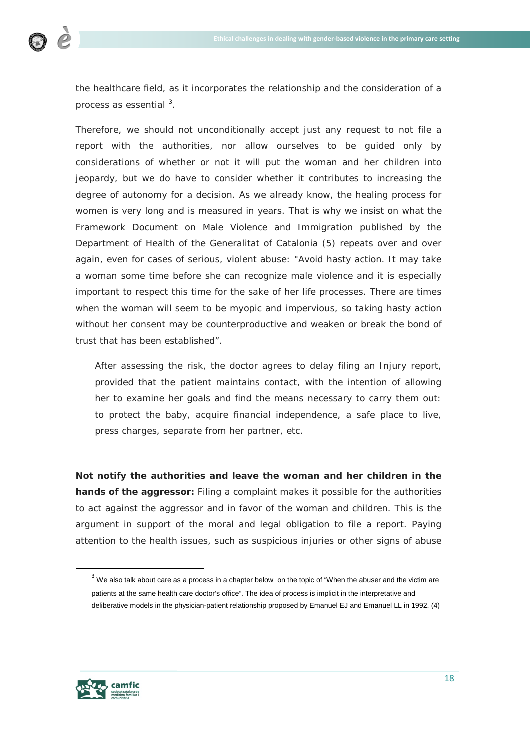

the healthcare field, as it incorporates the relationship and the consideration of a process as essential <sup>[3](#page-17-0)</sup>.

Therefore, we should not unconditionally accept just any request to not file a report with the authorities, nor allow ourselves to be guided only by considerations of whether or not it will put the woman and her children into jeopardy, but we do have to consider whether it contributes to increasing the degree of autonomy for a decision. As we already know, the healing process for women is very long and is measured in years. That is why we insist on what the Framework Document on Male Violence and Immigration published by the Department of Health of the Generalitat of Catalonia (5) repeats over and over again, even for cases of serious, violent abuse: *"Avoid hasty action. It may take a woman some time before she can recognize male violence and it is especially important to respect this time for the sake of her life processes. There are times when the woman will seem to be myopic and impervious, so taking hasty action*  without her consent may be counterproductive and weaken or break the bond of *trust that has been established*".

*After assessing the risk, the doctor agrees to delay filing an Injury report, provided that the patient maintains contact, with the intention of allowing her to examine her goals and find the means necessary to carry them out: to protect the baby, acquire financial independence, a safe place to live, press charges, separate from her partner, etc.*

**Not notify the authorities and leave the woman and her children in the hands of the aggressor:** Filing a complaint makes it possible for the authorities to act against the aggressor and in favor of the woman and children. This is the argument in support of the moral and legal obligation to file a report. Paying attention to the health issues, such as suspicious injuries or other signs of abuse



<span id="page-17-0"></span> $3$  We also talk about care as a process in a chapter below on the topic of "When the abuser and the victim are patients at the same health care doctor's office". The idea of process is implicit in the interpretative and deliberative models in the physician-patient relationship proposed by Emanuel EJ and Emanuel LL in 1992. (4)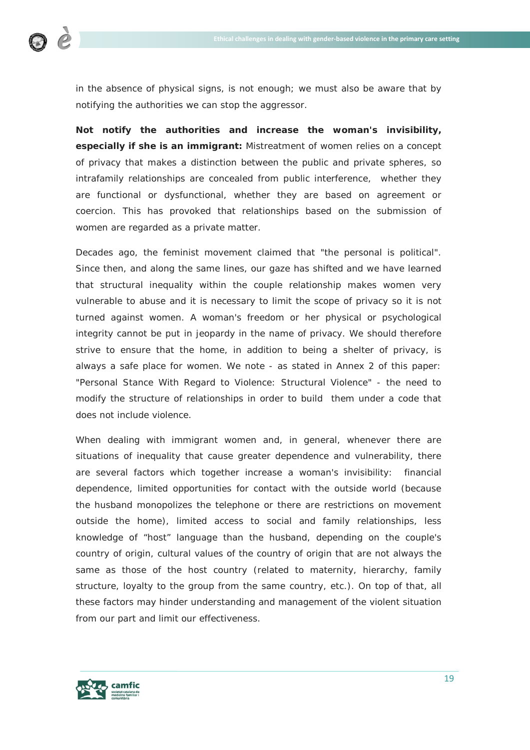

in the absence of physical signs, is not enough; we must also be aware that by notifying the authorities we can stop the aggressor.

**Not notify the authorities and increase the woman's invisibility, especially if she is an immigrant:** Mistreatment of women relies on a concept of privacy that makes a distinction between the public and private spheres, so intrafamily relationships are concealed from public interference, whether they are functional or dysfunctional, whether they are based on agreement or coercion. This has provoked that relationships based on the submission of women are regarded as a private matter.

Decades ago, the feminist movement claimed that "the personal is political". Since then, and along the same lines, our gaze has shifted and we have learned that structural inequality within the couple relationship makes women very vulnerable to abuse and it is necessary to limit the scope of privacy so it is not turned against women. A woman's freedom or her physical or psychological integrity cannot be put in jeopardy in the name of privacy. We should therefore strive to ensure that the home, in addition to being a shelter of privacy, is always a safe place for women. We note - as stated in Annex 2 of this paper: "Personal Stance With Regard to Violence: Structural Violence" - the need to modify the structure of relationships in order to build them under a code that does not include violence.

When dealing with immigrant women and, in general, whenever there are situations of inequality that cause greater dependence and vulnerability, there are several factors which together increase a woman's invisibility: financial dependence, limited opportunities for contact with the outside world (because the husband monopolizes the telephone or there are restrictions on movement outside the home), limited access to social and family relationships, less knowledge of "host" language than the husband, depending on the couple's country of origin, cultural values of the country of origin that are not always the same as those of the host country (related to maternity, hierarchy, family structure, loyalty to the group from the same country, etc.). On top of that, all these factors may hinder understanding and management of the violent situation from our part and limit our effectiveness.

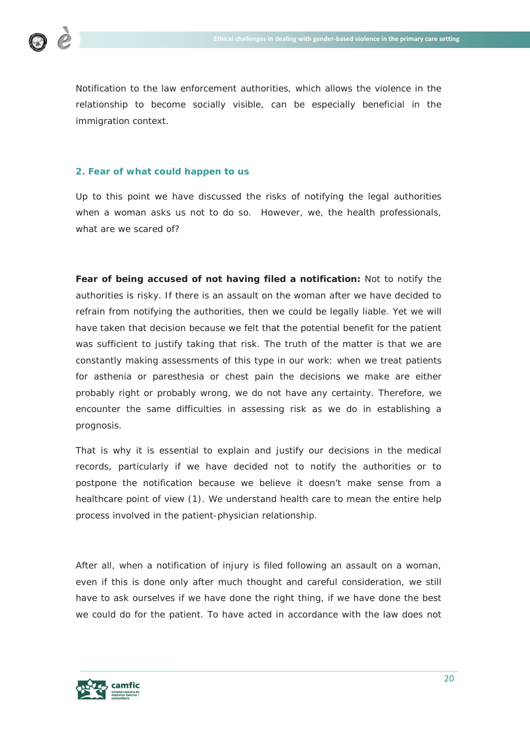

Notification to the law enforcement authorities, which allows the violence in the relationship to become socially visible, can be especially beneficial in the immigration context.

# **2. Fear of what could happen to us**

Up to this point we have discussed the risks of notifying the legal authorities when a woman asks us not to do so. However, we, the health professionals, what are we scared of?

**Fear of being accused of not having filed a notification:** Not to notify the authorities is risky. If there is an assault on the woman after we have decided to refrain from notifying the authorities, then we could be legally liable. Yet we will have taken that decision because we felt that the potential benefit for the patient was sufficient to justify taking that risk. The truth of the matter is that we are constantly making assessments of this type in our work: when we treat patients for asthenia or paresthesia or chest pain the decisions we make are either probably right or probably wrong, we do not have any certainty. Therefore, we encounter the same difficulties in assessing risk as we do in establishing a prognosis.

That is why it is essential to explain and justify our decisions in the medical records, particularly if we have decided not to notify the authorities or to postpone the notification because we believe it doesn't make sense from a healthcare point of view (1). We understand health care to mean the entire help process involved in the patient-physician relationship.

After all, when a notification of injury is filed following an assault on a woman, even if this is done only after much thought and careful consideration, we still have to ask ourselves if we have done the right thing, if we have done the best we could do for the patient. To have acted in accordance with the law does not

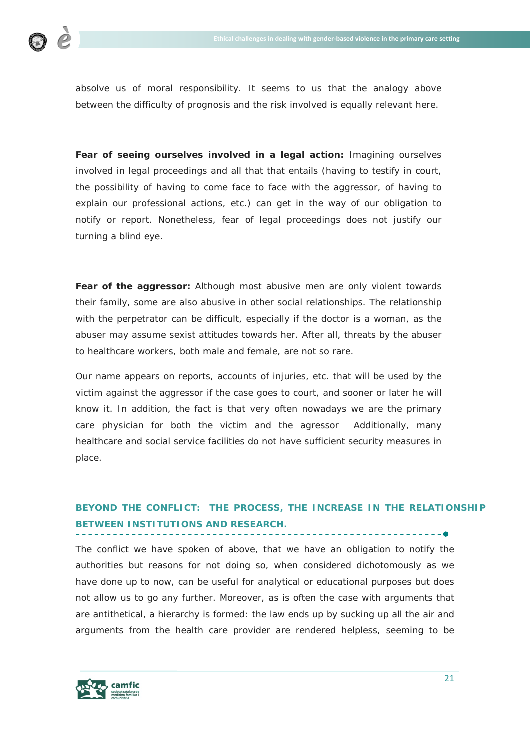

absolve us of moral responsibility. It seems to us that the analogy above between the difficulty of prognosis and the risk involved is equally relevant here.

**Fear of seeing ourselves involved in a legal action:** Imagining ourselves involved in legal proceedings and all that that entails (having to testify in court, the possibility of having to come face to face with the aggressor, of having to explain our professional actions, etc.) can get in the way of our obligation to notify or report. Nonetheless, fear of legal proceedings does not justify our turning a blind eye.

**Fear of the aggressor:** Although most abusive men are only violent towards their family, some are also abusive in other social relationships. The relationship with the perpetrator can be difficult, especially if the doctor is a woman, as the abuser may assume sexist attitudes towards her. After all, threats by the abuser to healthcare workers, both male and female, are not so rare.

Our name appears on reports, accounts of injuries, etc. that will be used by the victim against the aggressor if the case goes to court, and sooner or later he will know it. In addition, the fact is that very often nowadays we are the primary care physician for both the victim and the agressor Additionally, many healthcare and social service facilities do not have sufficient security measures in place.

# **BEYOND THE CONFLICT: THE PROCESS, THE INCREASE IN THE RELATIONSHIP BETWEEN INSTITUTIONS AND RESEARCH.**

The conflict we have spoken of above, that we have an obligation to notify the authorities but reasons for not doing so, when considered dichotomously as we have done up to now, can be useful for analytical or educational purposes but does not allow us to go any further. Moreover, as is often the case with arguments that are antithetical, a hierarchy is formed: the law ends up by sucking up all the air and arguments from the health care provider are rendered helpless, seeming to be

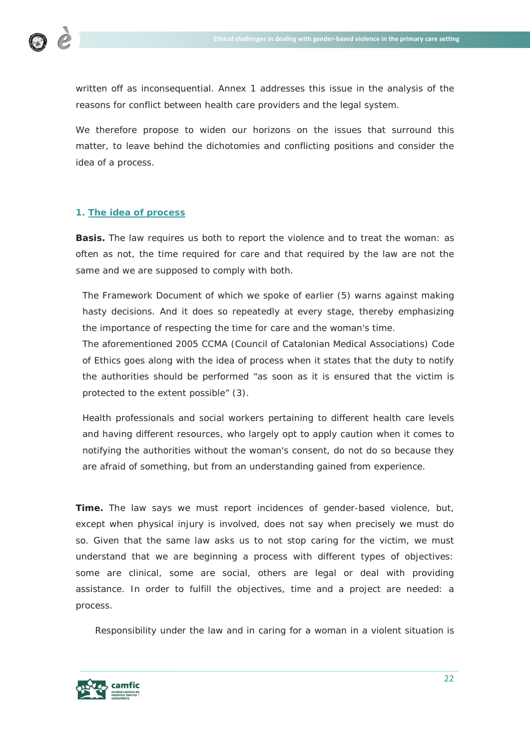

written off as inconsequential. Annex 1 addresses this issue in the analysis of the reasons for conflict between health care providers and the legal system.

We therefore propose to widen our horizons on the issues that surround this matter, to leave behind the dichotomies and conflicting positions and consider the idea of a process.

# **1. The idea of process**

**Basis.** The law requires us both to report the violence and to treat the woman: as often as not, the time required for care and that required by the law are not the same and we are supposed to comply with both.

The Framework Document of which we spoke of earlier (5) warns against making hasty decisions. And it does so repeatedly at every stage, thereby emphasizing the importance of respecting the time for care and the woman's time.

The aforementioned 2005 CCMA (Council of Catalonian Medical Associations) Code of Ethics goes along with the idea of process when it states that the duty to notify the authorities should be performed "*as soon as it is ensured that the victim is protected to the extent possible"* (3).

Health professionals and social workers pertaining to different health care levels and having different resources, who largely opt to apply caution when it comes to notifying the authorities without the woman's consent, do not do so because they are afraid of something, but from an understanding gained from experience.

**Time.** The law says we must report incidences of gender-based violence, but, except when physical injury is involved, does not say when precisely we must do so. Given that the same law asks us to not stop caring for the victim, we must understand that we are beginning a process with different types of objectives: some are clinical, some are social, others are legal or deal with providing assistance. In order to fulfill the objectives, time and a project are needed: a process.

Responsibility under the law and in caring for a woman in a violent situation is

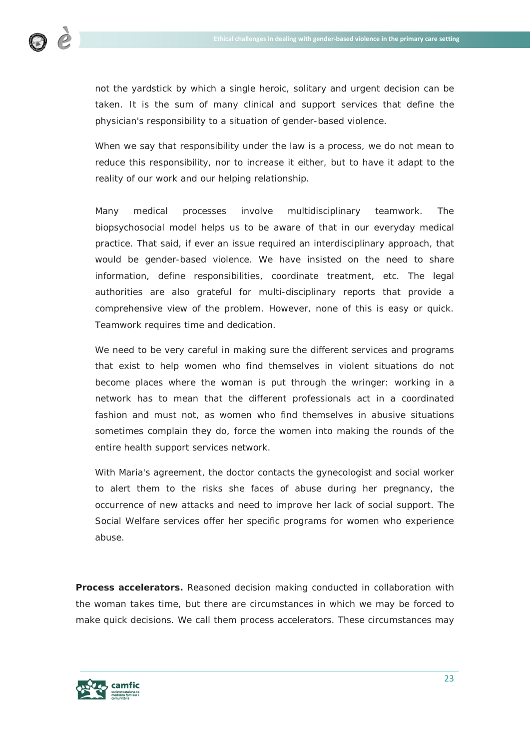

not the yardstick by which a single heroic, solitary and urgent decision can be taken. It is the sum of many clinical and support services that define the physician's responsibility to a situation of gender-based violence.

When we say that responsibility under the law is a process, we do not mean to reduce this responsibility, nor to increase it either, but to have it adapt to the reality of our work and our helping relationship.

Many medical processes involve multidisciplinary teamwork. The biopsychosocial model helps us to be aware of that in our everyday medical practice. That said, if ever an issue required an interdisciplinary approach, that would be gender-based violence. We have insisted on the need to share information, define responsibilities, coordinate treatment, etc. The legal authorities are also grateful for multi-disciplinary reports that provide a comprehensive view of the problem. However, none of this is easy or quick. Teamwork requires time and dedication.

We need to be very careful in making sure the different services and programs that exist to help women who find themselves in violent situations do not become places where the woman is put through the wringer: working in a network has to mean that the different professionals act in a coordinated fashion and must not, as women who find themselves in abusive situations sometimes complain they do, force the women into making the rounds of the entire health support services network.

*With Maria's agreement, the doctor contacts the gynecologist and social worker*  to alert them to the risks she faces of abuse during her pregnancy, the *occurrence of new attacks and need to improve her lack of social support. The Social Welfare services offer her specific programs for women who experience abuse*.

**Process accelerators.** Reasoned decision making conducted in collaboration with the woman takes time, but there are circumstances in which we may be forced to make quick decisions. We call them process accelerators. These circumstances may

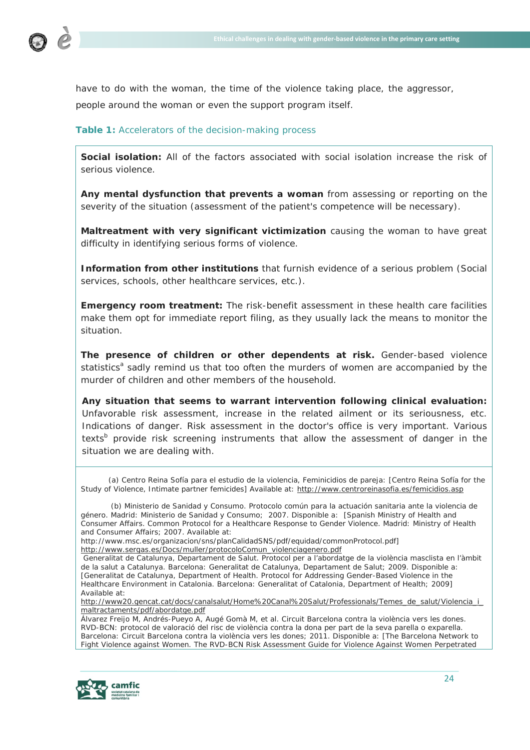

have to do with the woman, the time of the violence taking place, the aggressor, people around the woman or even the support program itself.

## **Table 1:** Accelerators of the decision-making process

**Social isolation:** All of the factors associated with social isolation increase the risk of serious violence.

**Any mental dysfunction that prevents a woman** from assessing or reporting on the severity of the situation (assessment of the patient's competence will be necessary).

**Maltreatment with very significant victimization** causing the woman to have great difficulty in identifying serious forms of violence.

**Information from other institutions** that furnish evidence of a serious problem (Social services, schools, other healthcare services, etc.).

**Emergency room treatment:** The risk-benefit assessment in these health care facilities make them opt for immediate report filing, as they usually lack the means to monitor the situation.

**The presence of children or other dependents at risk.** Gender-based violence statistics<sup>a</sup> sadly remind us that too often the murders of women are accompanied by the murder of children and other members of the household.

**Any situation that seems to warrant intervention following clinical evaluation:** Unfavorable risk assessment, increase in the related ailment or its seriousness, etc. Indications of danger. Risk assessment in the doctor's office is very important. Various texts<sup>b</sup> provide risk screening instruments that allow the assessment of danger in the situation we are dealing with.

 (a) Centro Reina Sofía para el estudio de la violencia, Feminicidios de pareja: [Centro Reina Sofía for the Study of Violence, Intimate partner femicides] Available at:<http://www.centroreinasofia.es/femicidios.asp>

Álvarez Freijo M, Andrés-Pueyo A, Augé Gomà M, et al. Circuit Barcelona contra la violència vers les dones. RVD-BCN: protocol de valoració del risc de violència contra la dona per part de la seva parella o exparella. Barcelona: Circuit Barcelona contra la violència vers les dones; 2011. Disponible a: [The Barcelona Network to Fight Violence against Women. The RVD-BCN Risk Assessment Guide for Violence Against Women Perpetrated



 <sup>(</sup>b) Ministerio de Sanidad y Consumo. Protocolo común para la actuación sanitaria ante la violencia de género. Madrid: Ministerio de Sanidad y Consumo; 2007. Disponible a: [Spanish Ministry of Health and Consumer Affairs. Common Protocol for a Healthcare Response to Gender Violence. Madrid: Ministry of Health and Consumer Affairs; 2007. Available at:

http://www.msc.es/organizacion/sns/planCalidadSNS/pdf/equidad/commonProtocol.pdf] [http://www.sergas.es/Docs/muller/protocoloComun\\_violenciagenero.pdf](http://www.sergas.es/Docs/muller/protocoloComun_violenciagenero.pdf)

Generalitat de Catalunya, Departament de Salut. Protocol per a l'abordatge de la violència masclista en l'àmbit de la salut a Catalunya. Barcelona: Generalitat de Catalunya, Departament de Salut; 2009. Disponible a: [Generalitat de Catalunya, Department of Health. Protocol for Addressing Gender-Based Violence in the Healthcare Environment in Catalonia. Barcelona: Generalitat of Catalonia, Department of Health; 2009] Available at:

[http://www20.gencat.cat/docs/canalsalut/Home%20Canal%20Salut/Professionals/Temes\\_de\\_salut/Violencia\\_i\\_](http://www20.gencat.cat/docs/canalsalut/Home%20Canal%20Salut/Professionals/Temes_de_salut/Violencia_i_maltractaments/pdf/abordatge.pdf) [maltractaments/pdf/abordatge.pdf](http://www20.gencat.cat/docs/canalsalut/Home%20Canal%20Salut/Professionals/Temes_de_salut/Violencia_i_maltractaments/pdf/abordatge.pdf)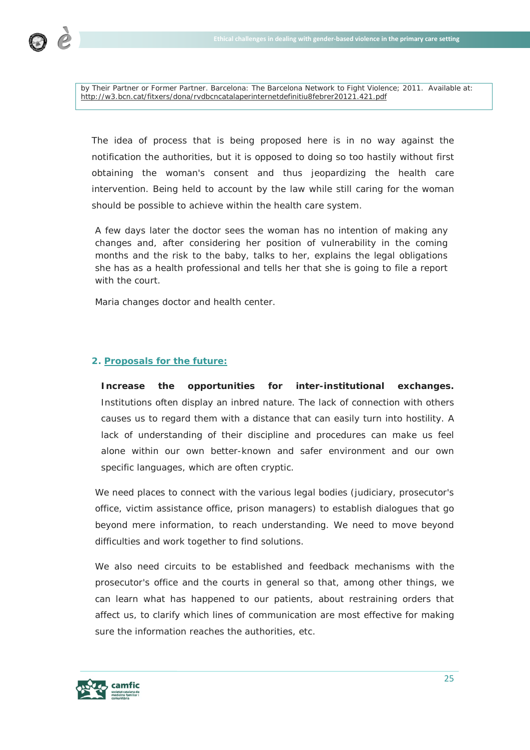

by Their Partner or Former Partner. Barcelona: The Barcelona Network to Fight Violence; 2011. Available at: <http://w3.bcn.cat/fitxers/dona/rvdbcncatalaperinternetdefinitiu8febrer20121.421.pdf>

The idea of process that is being proposed here is in no way against the notification the authorities, but it is opposed to doing so too hastily without first obtaining the woman's consent and thus jeopardizing the health care intervention. Being held to account by the law while still caring for the woman should be possible to achieve within the health care system.

*A few days later the doctor sees the woman has no intention of making any changes and, after considering her position of vulnerability in the coming months and the risk to the baby, talks to her, explains the legal obligations she has as a health professional and tells her that she is going to file a report with the court.*

*Maria changes doctor and health center.*

## **2. Proposals for the future:**

**Increase the opportunities for inter-institutional exchanges.**  Institutions often display an inbred nature. The lack of connection with others causes us to regard them with a distance that can easily turn into hostility. A lack of understanding of their discipline and procedures can make us feel alone within our own better-known and safer environment and our own specific languages, which are often cryptic.

We need places to connect with the various legal bodies (judiciary, prosecutor's office, victim assistance office, prison managers) to establish dialogues that go beyond mere information, to reach understanding. We need to move beyond difficulties and work together to find solutions.

We also need circuits to be established and feedback mechanisms with the prosecutor's office and the courts in general so that, among other things, we can learn what has happened to our patients, about restraining orders that affect us, to clarify which lines of communication are most effective for making sure the information reaches the authorities, etc.

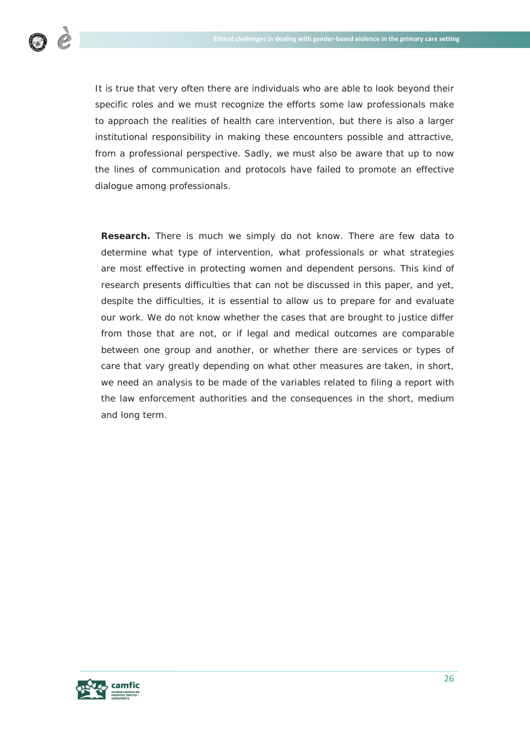

It is true that very often there are individuals who are able to look beyond their specific roles and we must recognize the efforts some law professionals make to approach the realities of health care intervention, but there is also a larger institutional responsibility in making these encounters possible and attractive, from a professional perspective. Sadly, we must also be aware that up to now the lines of communication and protocols have failed to promote an effective dialogue among professionals.

**Research.** There is much we simply do not know. There are few data to determine what type of intervention, what professionals or what strategies are most effective in protecting women and dependent persons. This kind of research presents difficulties that can not be discussed in this paper, and yet, despite the difficulties, it is essential to allow us to prepare for and evaluate our work. We do not know whether the cases that are brought to justice differ from those that are not, or if legal and medical outcomes are comparable between one group and another, or whether there are services or types of care that vary greatly depending on what other measures are taken, in short, we need an analysis to be made of the variables related to filing a report with the law enforcement authorities and the consequences in the short, medium and long term.

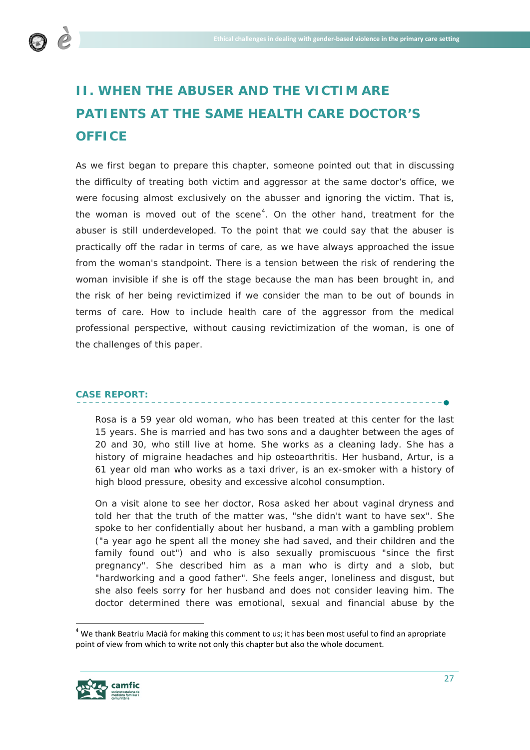

# **II. WHEN THE ABUSER AND THE VICTIM ARE PATIENTS AT THE SAME HEALTH CARE DOCTOR'S OFFICE**

As we first began to prepare this chapter, someone pointed out that in discussing the difficulty of treating both victim and aggressor at the same doctor's office, we were focusing almost exclusively on the abusser and ignoring the victim. That is, the woman is moved out of the scene<sup>[4](#page-26-0)</sup>. On the other hand, treatment for the abuser is still underdeveloped. To the point that we could say that the abuser is practically off the radar in terms of care, as we have always approached the issue from the woman's standpoint. There is a tension between the risk of rendering the woman invisible if she is off the stage because the man has been brought in, and the risk of her being revictimized if we consider the man to be out of bounds in terms of care. How to include health care of the aggressor from the medical professional perspective, without causing revictimization of the woman, is one of the challenges of this paper.

# **CASE REPORT:**

*Rosa is a 59 year old woman, who has been treated at this center for the last 15 years. She is married and has two sons and a daughter between the ages of 20 and 30, who still live at home. She works as a cleaning lady. She has a history of migraine headaches and hip osteoarthritis. Her husband, Artur, is a 61 year old man who works as a taxi driver, is an ex-smoker with a history of high blood pressure, obesity and excessive alcohol consumption.*

*On a visit alone to see her doctor, Rosa asked her about vaginal dryness and told her that the truth of the matter was, "she didn't want to have sex". She*  spoke to her confidentially about her husband, a man with a gambling problem *("a year ago he spent all the money she had saved, and their children and the*  family found out") and who is also sexually promiscuous "since the first *pregnancy". She described him as a man who is dirty and a slob, but "hardworking and a good father". She feels anger, loneliness and disgust, but she also feels sorry for her husband and does not consider leaving him. The doctor determined there was emotional, sexual and financial abuse by the* 

<span id="page-26-0"></span><sup>&</sup>lt;sup>4</sup> We thank Beatriu Macià for making this comment to us; it has been most useful to find an apropriate point of view from which to write not only this chapter but also the whole document.

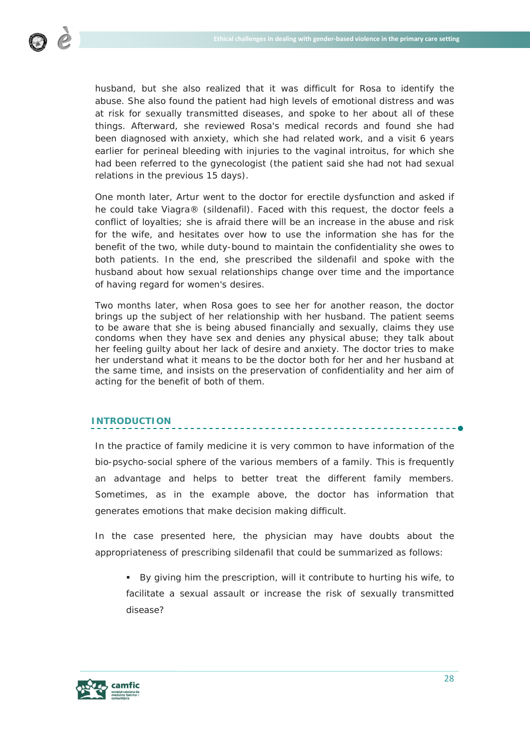

husband, but she also realized that it was difficult for Rosa to identify the *abuse. She also found the patient had high levels of emotional distress and was at risk for sexually transmitted diseases, and spoke to her about all of these things. Afterward, she reviewed Rosa's medical records and found she had been diagnosed with anxiety, which she had related work, and a visit 6 years*  earlier for perineal bleeding with injuries to the vaginal introitus, for which she had been referred to the gynecologist (the patient said she had not had sexual *relations in the previous 15 days).*

*One month later, Artur went to the doctor for erectile dysfunction and asked if he could take Viagra® (sildenafil). Faced with this request, the doctor feels a conflict of loyalties; she is afraid there will be an increase in the abuse and risk*  for the wife, and hesitates over how to use the information she has for the *benefit of the two, while duty-bound to maintain the confidentiality she owes to both patients. In the end, she prescribed the sildenafil and spoke with the husband about how sexual relationships change over time and the importance of having regard for women's desires.* 

*Two months later, when Rosa goes to see her for another reason, the doctor brings up the subject of her relationship with her husband. The patient seems to be aware that she is being abused financially and sexually, claims they use condoms when they have sex and denies any physical abuse; they talk about her feeling guilty about her lack of desire and anxiety. The doctor tries to make her understand what it means to be the doctor both for her and her husband at the same time, and insists on the preservation of confidentiality and her aim of acting for the benefit of both of them.* 

# **INTRODUCTION**

In the practice of family medicine it is very common to have information of the bio-psycho-social sphere of the various members of a family. This is frequently an advantage and helps to better treat the different family members. Sometimes, as in the example above, the doctor has information that generates emotions that make decision making difficult.

In the case presented here, the physician may have doubts about the appropriateness of prescribing sildenafil that could be summarized as follows:

 By giving him the prescription, will it contribute to hurting his wife, to facilitate a sexual assault or increase the risk of sexually transmitted disease?

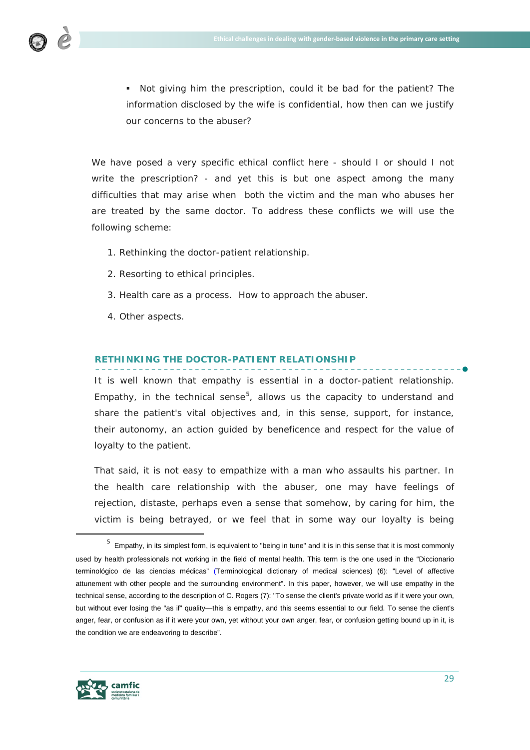

 Not giving him the prescription, could it be bad for the patient? The information disclosed by the wife is confidential, how then can we justify our concerns to the abuser?

We have posed a very specific ethical conflict here - should I or should I not write the prescription? - and yet this is but one aspect among the many difficulties that may arise when both the victim and the man who abuses her are treated by the same doctor. To address these conflicts we will use the following scheme:

- 1. Rethinking the doctor-patient relationship.
- 2. Resorting to ethical principles.
- 3. Health care as a process. How to approach the abuser.
- 4. Other aspects.

# **RETHINKING THE DOCTOR-PATIENT RELATIONSHIP**

It is well known that empathy is essential in a doctor-patient relationship. Empathy, in the technical sense<sup>[5](#page-28-0)</sup>, allows us the capacity to understand and share the patient's vital objectives and, in this sense, support, for instance, their autonomy, an action guided by beneficence and respect for the value of loyalty to the patient.

That said, it is not easy to empathize with a man who assaults his partner. In the health care relationship with the abuser, one may have feelings of rejection, distaste, perhaps even a sense that somehow, by caring for him, the victim is being betrayed, or we feel that in some way our loyalty is being



<span id="page-28-0"></span><sup>&</sup>lt;sup>5</sup> Empathy, in its simplest form, is equivalent to "being in tune" and it is in this sense that it is most commonly used by health professionals not working in the field of mental health. This term is the one used in the "Diccionario terminológico de las ciencias médicas" (Terminological dictionary of medical sciences) (6): "Level of affective attunement with other people and the surrounding environment". In this paper, however, we will use empathy in the technical sense, according to the description of C. Rogers (7): "To sense the client's private world as if it were your own, but without ever losing the "as if" quality—this is empathy, and this seems essential to our field. To sense the client's anger, fear, or confusion as if it were your own, yet without your own anger, fear, or confusion getting bound up in it, is the condition we are endeavoring to describe".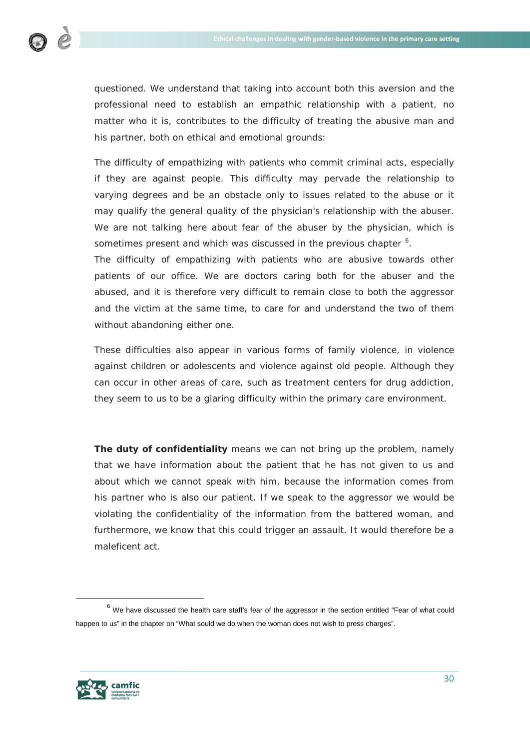

questioned. We understand that taking into account both this aversion and the professional need to establish an empathic relationship with a patient, no matter who it is, contributes to the difficulty of treating the abusive man and his partner, both on ethical and emotional grounds:

The difficulty of empathizing with patients who commit criminal acts, especially if they are against people. This difficulty may pervade the relationship to varying degrees and be an obstacle only to issues related to the abuse or it may qualify the general quality of the physician's relationship with the abuser. We are not talking here about fear of the abuser by the physician, which is sometimes present and which was discussed in the previous chapter  $6$ .

The difficulty of empathizing with patients who are abusive towards other patients of our office. We are doctors caring both for the abuser and the abused, and it is therefore very difficult to remain close to both the aggressor and the victim at the same time, to care for and understand the two of them without abandoning either one.

These difficulties also appear in various forms of family violence, in violence against children or adolescents and violence against old people. Although they can occur in other areas of care, such as treatment centers for drug addiction, they seem to us to be a glaring difficulty within the primary care environment.

**The duty of confidentiality** means we can not bring up the problem, namely that we have information about the patient that he has not given to us and about which we cannot speak with him, because the information comes from his partner who is also our patient. If we speak to the aggressor we would be violating the confidentiality of the information from the battered woman, and furthermore, we know that this could trigger an assault. It would therefore be a maleficent act.



<span id="page-29-0"></span> $6$  We have discussed the health care staff's fear of the aggressor in the section entitled "Fear of what could happen to us" in the chapter on "What sould we do when the woman does not wish to press charges".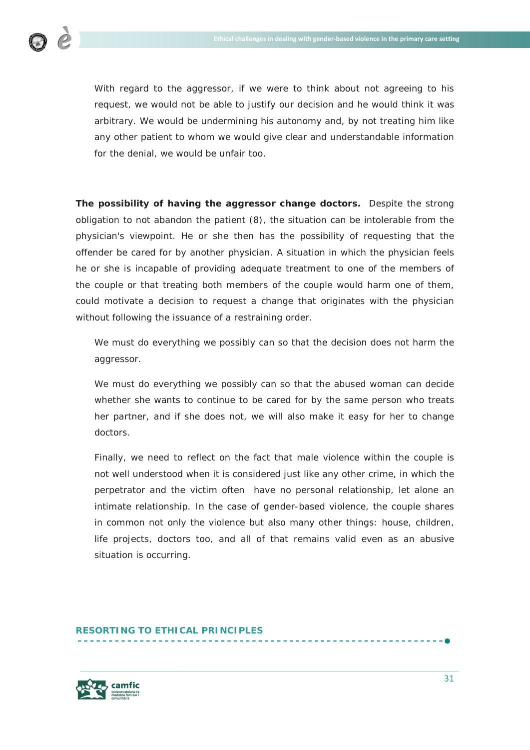With regard to the aggressor, if we were to think about not agreeing to his request, we would not be able to justify our decision and he would think it was arbitrary. We would be undermining his autonomy and, by not treating him like any other patient to whom we would give clear and understandable information for the denial, we would be unfair too.

**The possibility of having the aggressor change doctors.** Despite the strong obligation to not abandon the patient (8), the situation can be intolerable from the physician's viewpoint. He or she then has the possibility of requesting that the offender be cared for by another physician. A situation in which the physician feels he or she is incapable of providing adequate treatment to one of the members of the couple or that treating both members of the couple would harm one of them, could motivate a decision to request a change that originates with the physician without following the issuance of a restraining order.

We must do everything we possibly can so that the decision does not harm the aggressor.

We must do everything we possibly can so that the abused woman can decide whether she wants to continue to be cared for by the same person who treats her partner, and if she does not, we will also make it easy for her to change doctors.

Finally, we need to reflect on the fact that male violence within the couple is not well understood when it is considered just like any other crime, in which the perpetrator and the victim often have no personal relationship, let alone an intimate relationship. In the case of gender-based violence, the couple shares in common not only the violence but also many other things: house, children, life projects, doctors too, and all of that remains valid even as an abusive situation is occurring.

# **RESORTING TO ETHICAL PRINCIPLES**

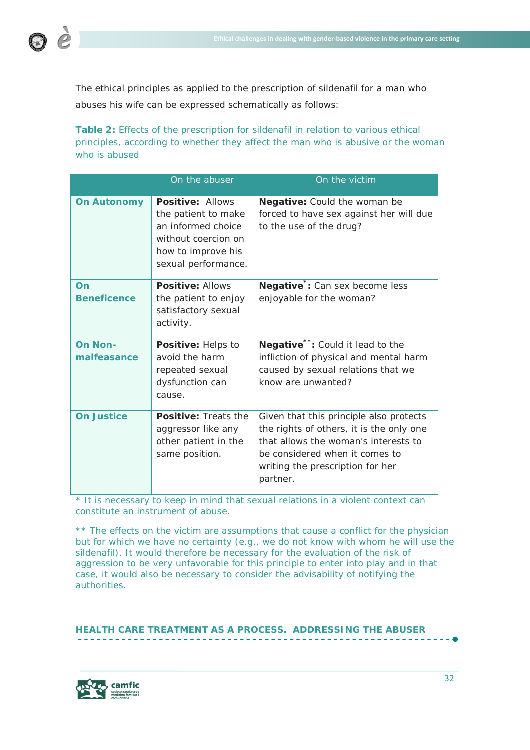

The ethical principles as applied to the prescription of sildenafil for a man who abuses his wife can be expressed schematically as follows:

**Table 2:** Effects of the prescription for sildenafil in relation to various ethical principles, according to whether they affect the man who is abusive or the woman who is abused

|                               | On the abuser                                                                                                                            | On the victim                                                                                                                                                                                                 |
|-------------------------------|------------------------------------------------------------------------------------------------------------------------------------------|---------------------------------------------------------------------------------------------------------------------------------------------------------------------------------------------------------------|
| <b>On Autonomy</b>            | <b>Positive: Allows</b><br>the patient to make<br>an informed choice<br>without coercion on<br>how to improve his<br>sexual performance. | Negative: Could the woman be<br>forced to have sex against her will due<br>to the use of the drug?                                                                                                            |
| On<br><b>Beneficence</b>      | <b>Positive: Allows</b><br>the patient to enjoy<br>satisfactory sexual<br>activity.                                                      | Negative <sup>*</sup> : Can sex become less<br>enjoyable for the woman?                                                                                                                                       |
| <b>On Non-</b><br>malfeasance | Positive: Helps to<br>avoid the harm<br>repeated sexual<br>dysfunction can<br>cause.                                                     | Negative <sup>**</sup> : Could it lead to the<br>infliction of physical and mental harm<br>caused by sexual relations that we<br>know are unwanted?                                                           |
| <b>On Justice</b>             | <b>Positive: Treats the</b><br>aggressor like any<br>other patient in the<br>same position.                                              | Given that this principle also protects<br>the rights of others, it is the only one<br>that allows the woman's interests to<br>be considered when it comes to<br>writing the prescription for her<br>partner. |

\* It is necessary to keep in mind that sexual relations in a violent context can constitute an instrument of abuse.

\*\* The effects on the victim are assumptions that cause a conflict for the physician but for which we have no certainty (e.g., we do not know with whom he will use the sildenafil). It would therefore be necessary for the evaluation of the risk of aggression to be very unfavorable for this principle to enter into play and in that case, it would also be necessary to consider the advisability of notifying the authorities.

**HEALTH CARE TREATMENT AS A PROCESS. ADDRESSING THE ABUSER**

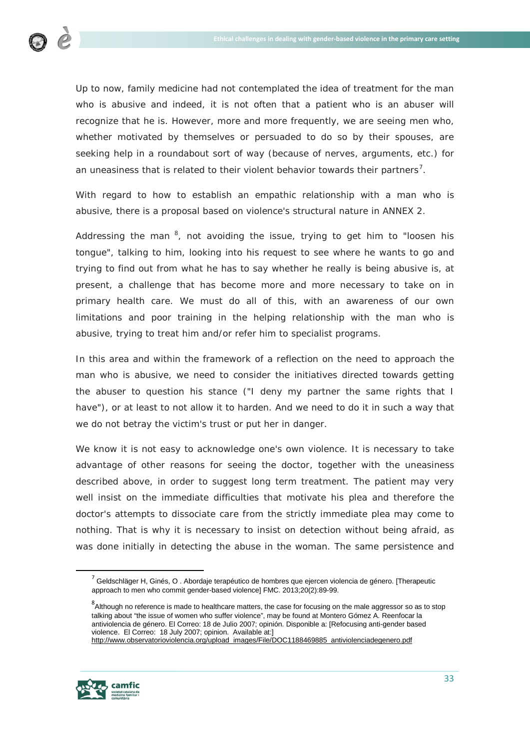

Up to now, family medicine had not contemplated the idea of treatment for the man who is abusive and indeed, it is not often that a patient who is an abuser will recognize that he is. However, more and more frequently, we are seeing men who, whether motivated by themselves or persuaded to do so by their spouses, are seeking help in a roundabout sort of way (because of nerves, arguments, etc.) for an uneasiness that is related to their violent behavior towards their partners<sup>[7](#page-32-0)</sup>.

With regard to how to establish an empathic relationship with a man who is abusive, there is a proposal based on violence's structural nature in ANNEX 2.

Addressing the man  $^8$  $^8$ , not avoiding the issue, trying to get him to "loosen his tongue", talking to him, looking into his request to see where he wants to go and trying to find out from what he has to say whether he really is being abusive is, at present, a challenge that has become more and more necessary to take on in primary health care. We must do all of this, with an awareness of our own limitations and poor training in the helping relationship with the man who is abusive, trying to treat him and/or refer him to specialist programs.

In this area and within the framework of a reflection on the need to approach the man who is abusive, we need to consider the initiatives directed towards getting the abuser to question his stance ("I deny my partner the same rights that I have"), or at least to not allow it to harden. And we need to do it in such a way that we do not betray the victim's trust or put her in danger.

We know it is not easy to acknowledge one's own violence. It is necessary to take advantage of other reasons for seeing the doctor, together with the uneasiness described above, in order to suggest long term treatment. The patient may very well insist on the immediate difficulties that motivate his plea and therefore the doctor's attempts to dissociate care from the strictly immediate plea may come to nothing. That is why it is necessary to insist on detection without being afraid, as was done initially in detecting the abuse in the woman. The same persistence and

<span id="page-32-1"></span><span id="page-32-0"></span> $^8$ Although no reference is made to healthcare matters, the case for focusing on the male aggressor so as to stop talking about "the issue of women who suffer violence", may be found at Montero Gómez A. Reenfocar la antiviolencia de género. El Correo: 18 de Julio 2007; opinión. Disponible a: [Refocusing anti-gender based violence. El Correo: 18 July 2007; opinion. Available at:] [http://www.observatorioviolencia.org/upload\\_images/File/DOC1188469885\\_antiviolenciadegenero.pdf](http://www.observatorioviolencia.org/upload_images/File/DOC1188469885_antiviolenciadegenero.pdf)



 $7$  Geldschläger H, Ginés, O . Abordaje terapéutico de hombres que ejercen violencia de género. [Therapeutic approach to men who commit gender-based violence] FMC. 2013;20(2):89-99.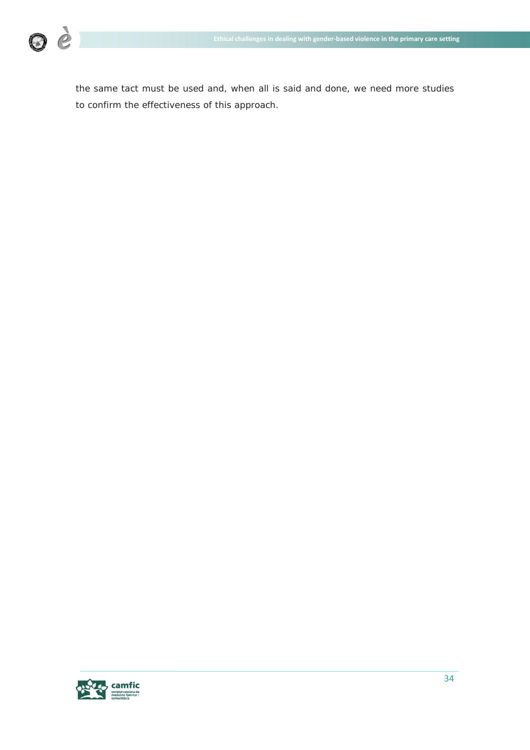

the same tact must be used and, when all is said and done, we need more studies to confirm the effectiveness of this approach.

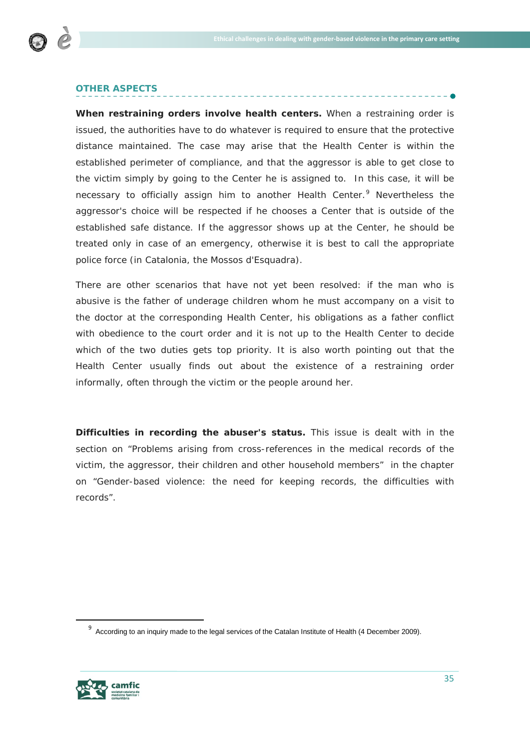

# **OTHER ASPECTS**

**When restraining orders involve health centers.** When a restraining order is issued, the authorities have to do whatever is required to ensure that the protective distance maintained. The case may arise that the Health Center is within the established perimeter of compliance, and that the aggressor is able to get close to the victim simply by going to the Center he is assigned to. In this case, it will be necessary to officially assign him to another Health Center.<sup>[9](#page-34-0)</sup> Nevertheless the aggressor's choice will be respected if he chooses a Center that is outside of the established safe distance. If the aggressor shows up at the Center, he should be treated only in case of an emergency, otherwise it is best to call the appropriate police force (in Catalonia, the Mossos d'Esquadra).

There are other scenarios that have not yet been resolved: if the man who is abusive is the father of underage children whom he must accompany on a visit to the doctor at the corresponding Health Center, his obligations as a father conflict with obedience to the court order and it is not up to the Health Center to decide which of the two duties gets top priority. It is also worth pointing out that the Health Center usually finds out about the existence of a restraining order informally, often through the victim or the people around her.

**Difficulties in recording the abuser's status.** This issue is dealt with in the section on "Problems arising from cross-references in the medical records of the victim, the aggressor, their children and other household members" in the chapter on "Gender-based violence: the need for keeping records, the difficulties with records".



<span id="page-34-0"></span><sup>&</sup>lt;sup>9</sup> According to an inquiry made to the legal services of the Catalan Institute of Health (4 December 2009).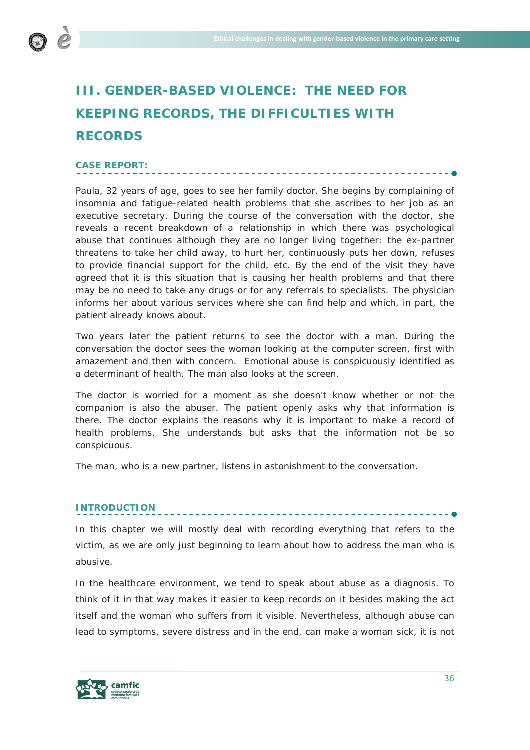

# **III. GENDER-BASED VIOLENCE: THE NEED FOR KEEPING RECORDS, THE DIFFICULTIES WITH RECORDS**

<u> - - - - - - - -</u>

# **CASE REPORT:**

Paula, 32 years of age, goes to see her family doctor. She begins by complaining of *insomnia and fatigue-related health problems that she ascribes to her job as an executive secretary. During the course of the conversation with the doctor, she reveals a recent breakdown of a relationship in which there was psychological* abuse that continues although they are no longer living together: the ex-partner *threatens to take her child away, to hurt her, continuously puts her down, refuses to provide financial support for the child, etc. By the end of the visit they have* agreed that it is this situation that is causing her health problems and that there *may be no need to take any drugs or for any referrals to specialists. The physician informs her about various services where she can find help and which, in part, the patient already knows about.*

*Two years later the patient returns to see the doctor with a man. During the conversation the doctor sees the woman looking at the computer screen, first with amazement and then with concern. Emotional abuse is conspicuously identified as a determinant of health. The man also looks at the screen.* 

*The doctor is worried for a moment as she doesn't know whether or not the*  companion is also the abuser. The patient openly asks why that information is *there. The doctor explains the reasons why it is important to make a record of health problems. She understands but asks that the information not be so conspicuous.*

*The man, who is a new partner, listens in astonishment to the conversation.*

#### **INTRODUCTION**

In this chapter we will mostly deal with recording everything that refers to the victim, as we are only just beginning to learn about how to address the man who is abusive.

In the healthcare environment, we tend to speak about abuse as a diagnosis. To think of it in that way makes it easier to keep records on it besides making the act itself and the woman who suffers from it visible. Nevertheless, although abuse can lead to symptoms, severe distress and in the end, can make a woman sick, it is not

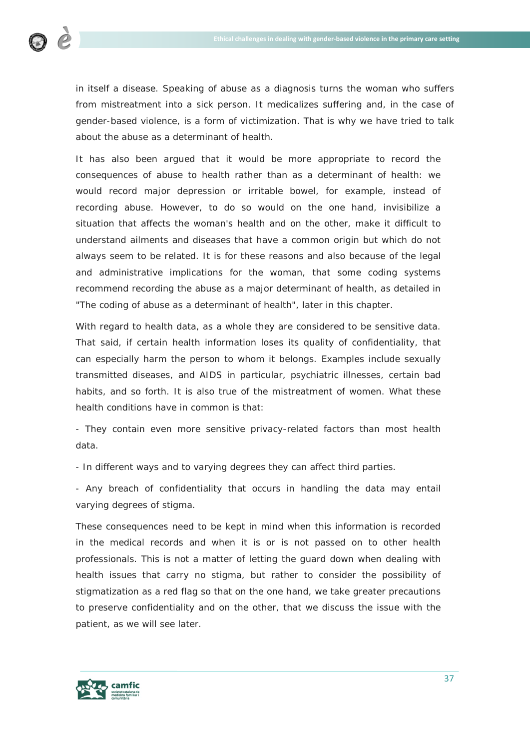

in itself a disease. Speaking of abuse as a diagnosis turns the woman who suffers from mistreatment into a sick person. It medicalizes suffering and, in the case of gender-based violence, is a form of victimization. That is why we have tried to talk about the abuse as a determinant of health.

It has also been argued that it would be more appropriate to record the consequences of abuse to health rather than as a determinant of health: we would record major depression or irritable bowel, for example, instead of recording abuse. However, to do so would on the one hand, invisibilize a situation that affects the woman's health and on the other, make it difficult to understand ailments and diseases that have a common origin but which do not always seem to be related. It is for these reasons and also because of the legal and administrative implications for the woman, that some coding systems recommend recording the abuse as a major determinant of health, as detailed in "The coding of abuse as a determinant of health", later in this chapter.

With regard to health data, as a whole they are considered to be sensitive data. That said, if certain health information loses its quality of confidentiality, that can especially harm the person to whom it belongs. Examples include sexually transmitted diseases, and AIDS in particular, psychiatric illnesses, certain bad habits, and so forth. It is also true of the mistreatment of women. What these health conditions have in common is that:

- They contain even more sensitive privacy-related factors than most health data.

- In different ways and to varying degrees they can affect third parties.

- Any breach of confidentiality that occurs in handling the data may entail varying degrees of stigma.

These consequences need to be kept in mind when this information is recorded in the medical records and when it is or is not passed on to other health professionals. This is not a matter of letting the guard down when dealing with health issues that carry no stigma, but rather to consider the possibility of stigmatization as a red flag so that on the one hand, we take greater precautions to preserve confidentiality and on the other, that we discuss the issue with the patient, as we will see later.

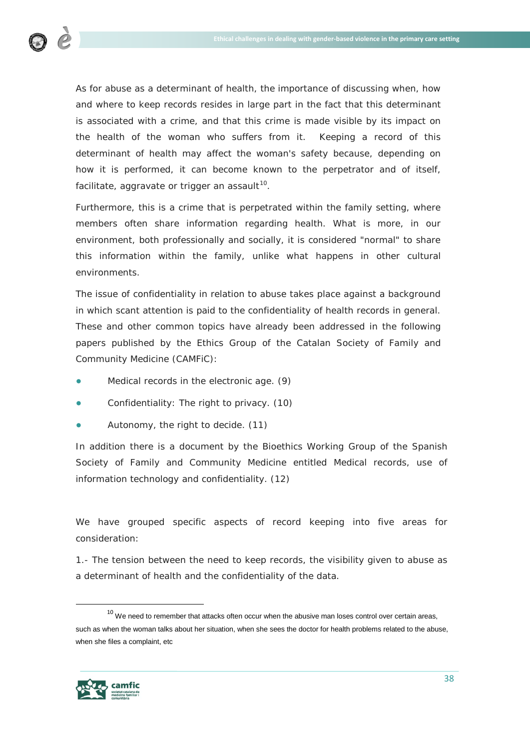

As for abuse as a determinant of health, the importance of discussing when, how and where to keep records resides in large part in the fact that this determinant is associated with a crime, and that this crime is made visible by its impact on the health of the woman who suffers from it. Keeping a record of this determinant of health may affect the woman's safety because, depending on how it is performed, it can become known to the perpetrator and of itself, facilitate, aggravate or trigger an assault $10$ .

Furthermore, this is a crime that is perpetrated within the family setting, where members often share information regarding health. What is more, in our environment, both professionally and socially, it is considered "normal" to share this information within the family, unlike what happens in other cultural environments.

The issue of confidentiality in relation to abuse takes place against a background in which scant attention is paid to the confidentiality of health records in general. These and other common topics have already been addressed in the following papers published by the Ethics Group of the Catalan Society of Family and Community Medicine (CAMFiC):

- *● Medical records in the electronic age*. (9)
- *● Confidentiality: The right to privacy*. (10)
- *● Autonomy, the right to decide*. (11)

In addition there is a document by the Bioethics Working Group of the Spanish Society of Family and Community Medicine entitled *Medical records, use of information technology and confidentiality.* (12)

We have grouped specific aspects of record keeping into five areas for consideration:

1.- The tension between the need to keep records, the visibility given to abuse as a determinant of health and the confidentiality of the data.

<span id="page-37-0"></span> $10$  We need to remember that attacks often occur when the abusive man loses control over certain areas, such as when the woman talks about her situation, when she sees the doctor for health problems related to the abuse, when she files a complaint, etc

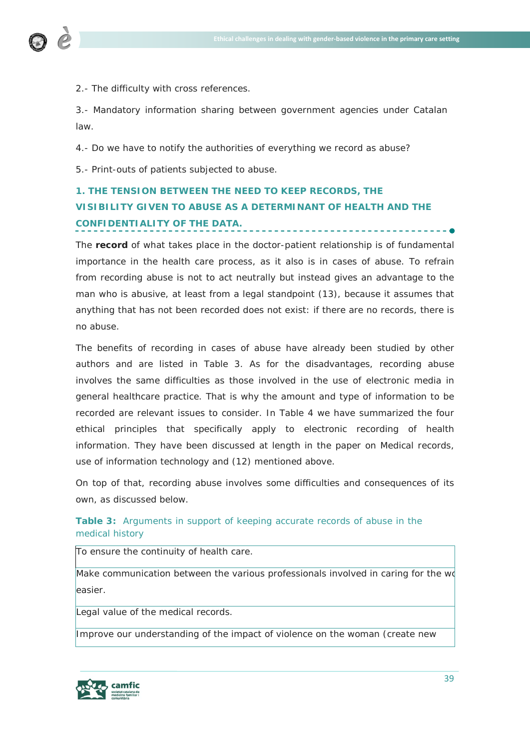

2.- The difficulty with cross references.

3.- Mandatory information sharing between government agencies under Catalan law.

4.- Do we have to notify the authorities of everything we record as abuse?

5.- Print-outs of patients subjected to abuse.

# **1. THE TENSION BETWEEN THE NEED TO KEEP RECORDS, THE VISIBILITY GIVEN TO ABUSE AS A DETERMINANT OF HEALTH AND THE CONFIDENTIALITY OF THE DATA.**

The **record** of what takes place in the doctor-patient relationship is of fundamental importance in the health care process, as it also is in cases of abuse. To refrain from recording abuse is not to act neutrally but instead gives an advantage to the man who is abusive, at least from a legal standpoint (13), because it assumes that anything that has not been recorded does not exist: if there are no records, there is no abuse.

The benefits of recording in cases of abuse have already been studied by other authors and are listed in Table 3. As for the disadvantages, recording abuse involves the same difficulties as those involved in the use of electronic media in general healthcare practice. That is why the amount and type of information to be recorded are relevant issues to consider. In Table 4 we have summarized the four ethical principles that specifically apply to electronic recording of health information. They have been discussed at length in the paper on *Medical records, use of information technology and* (12) mentioned above.

On top of that, recording abuse involves some difficulties and consequences of its own, as discussed below.

# **Table 3:** Arguments in support of keeping accurate records of abuse in the medical history

To ensure the continuity of health care.

Make communication between the various professionals involved in caring for the wo easier.

Legal value of the medical records.

Improve our understanding of the impact of violence on the woman (create new

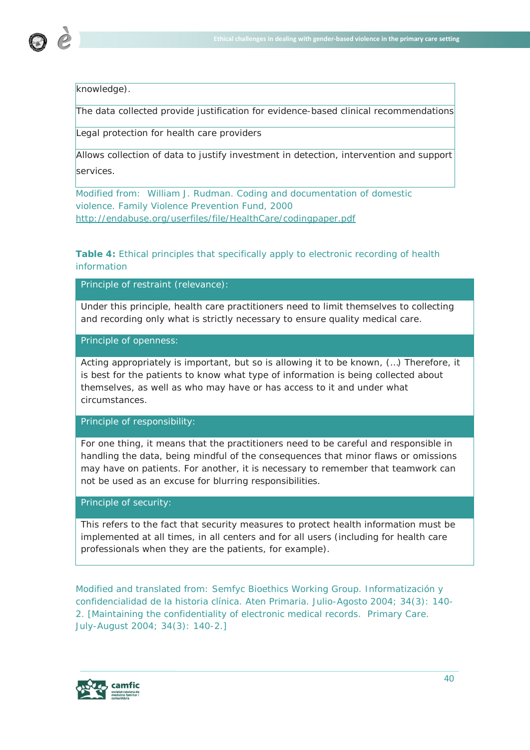

knowledge).

The data collected provide justification for evidence-based clinical recommendations

Legal protection for health care providers

Allows collection of data to justify investment in detection, intervention and support services.

Modified from: William J. Rudman. Coding and documentation of domestic violence. Family Violence Prevention Fund, 2000 http://endabuse.org/userfiles/file/HealthCare/codingpaper.pdf

**Table 4:** Ethical principles that specifically apply to electronic recording of health information

Principle of restraint (relevance):

Under this principle, health care practitioners need to limit themselves to collecting and recording only what is strictly necessary to ensure quality medical care.

Principle of openness:

Acting appropriately is important, but so is allowing it to be known, (…) Therefore, it is best for the patients to know what type of information is being collected about themselves, as well as who may have or has access to it and under what circumstances.

Principle of responsibility:

For one thing, it means that the practitioners need to be careful and responsible in handling the data, being mindful of the consequences that minor flaws or omissions may have on patients. For another, it is necessary to remember that teamwork can not be used as an excuse for blurring responsibilities.

Principle of security:

This refers to the fact that security measures to protect health information must be implemented at all times, in all centers and for all users (including for health care professionals when they are the patients, for example).

Modified and translated from: Semfyc Bioethics Working Group. Informatización y confidencialidad de la historia clínica. Aten Primaria. Julio-Agosto 2004; 34(3): 140- 2. [Maintaining the confidentiality of electronic medical records. Primary Care. July-August 2004; 34(3): 140-2.]

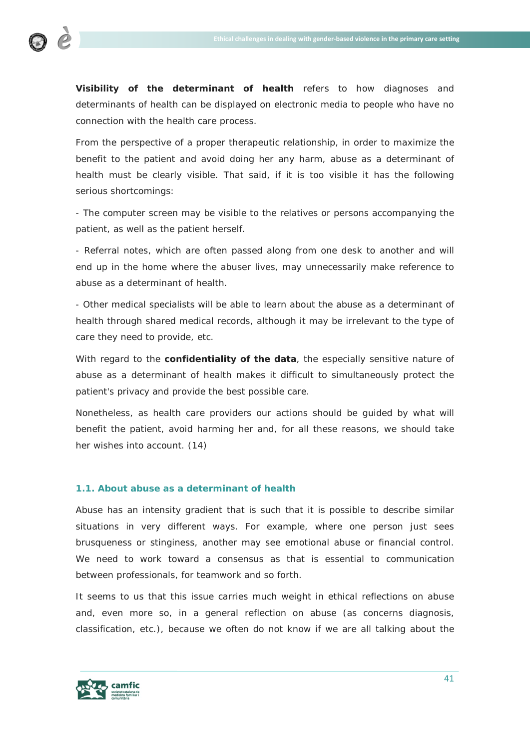

**Visibility of the determinant of health** refers to how diagnoses and determinants of health can be displayed on electronic media to people who have no connection with the health care process.

From the perspective of a proper therapeutic relationship, in order to maximize the benefit to the patient and avoid doing her any harm, abuse as a determinant of health must be clearly visible. That said, if it is too visible it has the following serious shortcomings:

- The computer screen may be visible to the relatives or persons accompanying the patient, as well as the patient herself.

- Referral notes, which are often passed along from one desk to another and will end up in the home where the abuser lives, may unnecessarily make reference to abuse as a determinant of health.

- Other medical specialists will be able to learn about the abuse as a determinant of health through shared medical records, although it may be irrelevant to the type of care they need to provide, etc.

With regard to the **confidentiality of the data**, the especially sensitive nature of abuse as a determinant of health makes it difficult to simultaneously protect the patient's privacy and provide the best possible care.

Nonetheless, as health care providers our actions should be guided by what will benefit the patient, avoid harming her and, for all these reasons, we should take her wishes into account. (14)

# **1.1. About abuse as a determinant of health**

Abuse has an intensity gradient that is such that it is possible to describe similar situations in very different ways. For example, where one person just sees brusqueness or stinginess, another may see emotional abuse or financial control. We need to work toward a consensus as that is essential to communication between professionals, for teamwork and so forth.

It seems to us that this issue carries much weight in ethical reflections on abuse and, even more so, in a general reflection on abuse (as concerns diagnosis, classification, etc.), because we often do not know if we are all talking about the

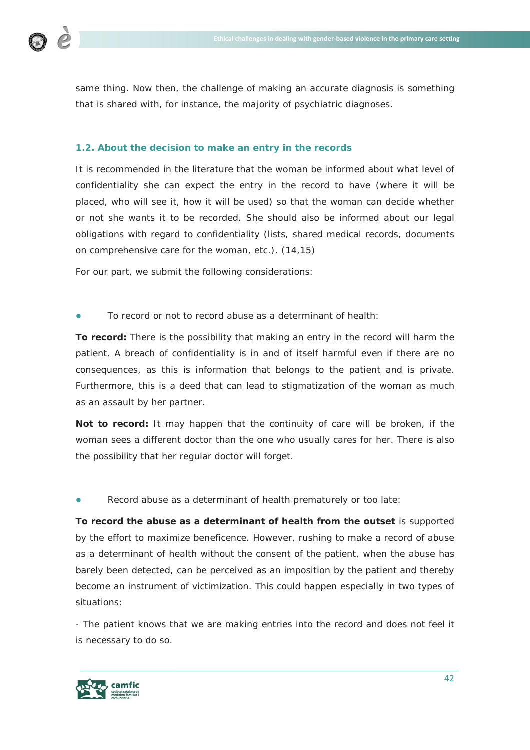

same thing. Now then, the challenge of making an accurate diagnosis is something that is shared with, for instance, the majority of psychiatric diagnoses.

# **1.2. About the decision to make an entry in the records**

It is recommended in the literature that the woman be informed about what level of confidentiality she can expect the entry in the record to have (where it will be placed, who will see it, how it will be used) so that the woman can decide whether or not she wants it to be recorded. She should also be informed about our legal obligations with regard to confidentiality (lists, shared medical records, documents on comprehensive care for the woman, etc.). (14,15)

For our part, we submit the following considerations:

# To record or not to record abuse as a determinant of health:

**To record:** There is the possibility that making an entry in the record will harm the patient. A breach of confidentiality is in and of itself harmful even if there are no consequences, as this is information that belongs to the patient and is private. Furthermore, this is a deed that can lead to stigmatization of the woman as much as an assault by her partner.

**Not to record:** It may happen that the continuity of care will be broken, if the woman sees a different doctor than the one who usually cares for her. There is also the possibility that her regular doctor will forget.

# Record abuse as a determinant of health prematurely or too late:

**To record the abuse as a determinant of health from the outset** is supported by the effort to maximize beneficence. However, rushing to make a record of abuse as a determinant of health without the consent of the patient, when the abuse has barely been detected, can be perceived as an imposition by the patient and thereby become an instrument of victimization. This could happen especially in two types of situations:

- The patient knows that we are making entries into the record and does not feel it is necessary to do so.

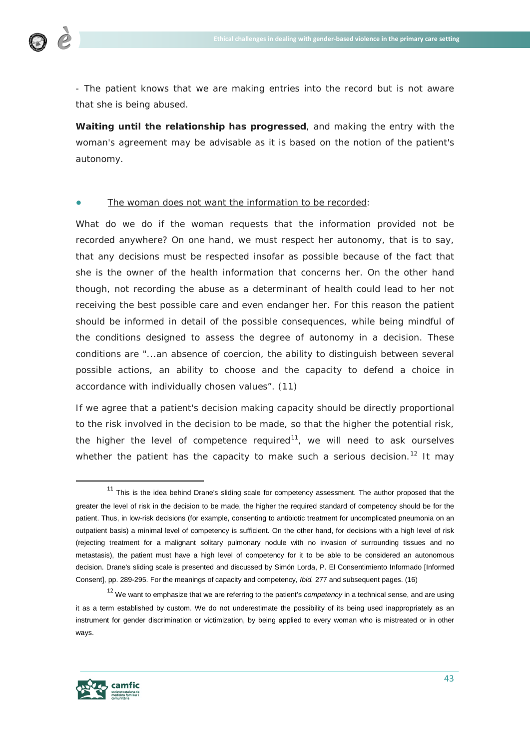

- The patient knows that we are making entries into the record but is not aware that she is being abused.

**Waiting until the relationship has progressed**, and making the entry with the woman's agreement may be advisable as it is based on the notion of the patient's autonomy.

#### The woman does not want the information to be recorded:

What do we do if the woman requests that the information provided not be recorded anywhere? On one hand, we must respect her autonomy, that is to say, that any decisions must be respected insofar as possible because of the fact that she is the owner of the health information that concerns her. On the other hand though, not recording the abuse as a determinant of health could lead to her not receiving the best possible care and even endanger her. For this reason the patient should be informed in detail of the possible consequences, while being mindful of the conditions designed to assess the degree of autonomy in a decision. These conditions are "...an absence of coercion, the ability to distinguish between several possible actions, an ability to choose and the capacity to defend a choice in accordance with individually chosen values". (11)

If we agree that a patient's decision making capacity should be directly proportional to the risk involved in the decision to be made, so that the higher the potential risk, the higher the level of competence required<sup>[11](#page-42-0)</sup>, we will need to ask ourselves whether the patient has the capacity to make such a serious decision.<sup>[12](#page-42-1)</sup> It may



<span id="page-42-0"></span> $11$  This is the idea behind Drane's sliding scale for competency assessment. The author proposed that the greater the level of risk in the decision to be made, the higher the required standard of competency should be for the patient. Thus, in low-risk decisions (for example, consenting to antibiotic treatment for uncomplicated pneumonia on an outpatient basis) a minimal level of competency is sufficient. On the other hand, for decisions with a high level of risk (rejecting treatment for a malignant solitary pulmonary nodule with no invasion of surrounding tissues and no metastasis), the patient must have a high level of competency for it to be able to be considered an autonomous decision. Drane's sliding scale is presented and discussed by Simón Lorda, P. El Consentimiento Informado [Informed Consent], pp. 289-295. For the meanings of capacity and competency, *Ibid.* 277 and subsequent pages. (16)

<span id="page-42-1"></span><sup>12</sup> We want to emphasize that we are referring to the patient's *competency* in a technical sense, and are using it as a term established by custom. We do not underestimate the possibility of its being used inappropriately as an instrument for gender discrimination or victimization, by being applied to every woman who is mistreated or in other ways.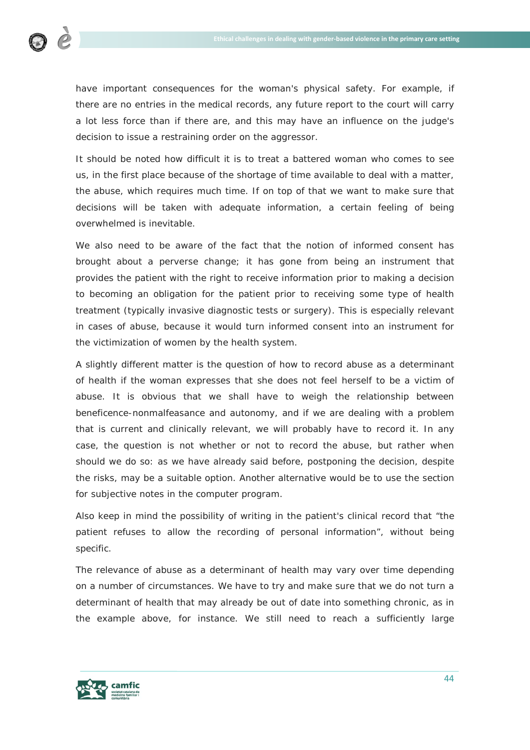

have important consequences for the woman's physical safety. For example, if there are no entries in the medical records, any future report to the court will carry a lot less force than if there are, and this may have an influence on the judge's decision to issue a restraining order on the aggressor.

It should be noted how difficult it is to treat a battered woman who comes to see us, in the first place because of the shortage of time available to deal with a matter, the abuse, which requires much time. If on top of that we want to make sure that decisions will be taken with adequate information, a certain feeling of being overwhelmed is inevitable.

We also need to be aware of the fact that the notion of informed consent has brought about a perverse change; it has gone from being an instrument that provides the patient with the right to receive information prior to making a decision to becoming an obligation for the patient prior to receiving some type of health treatment (typically invasive diagnostic tests or surgery). This is especially relevant in cases of abuse, because it would turn informed consent into an instrument for the victimization of women by the health system.

A slightly different matter is the question of how to record abuse as a determinant of health if the woman expresses that she does not feel herself to be a victim of abuse. It is obvious that we shall have to weigh the relationship between beneficence-nonmalfeasance and autonomy, and if we are dealing with a problem that is current and clinically relevant, we will probably have to record it. In any case, the question is not whether or not to record the abuse, but rather when should we do so: as we have already said before, postponing the decision, despite the risks, may be a suitable option. Another alternative would be to use the section for subjective notes in the computer program.

Also keep in mind the possibility of writing in the patient's clinical record that "the patient refuses to allow the recording of personal information", without being specific.

The relevance of abuse as a determinant of health may vary over time depending on a number of circumstances. We have to try and make sure that we do not turn a determinant of health that may already be out of date into something chronic, as in the example above, for instance. We still need to reach a sufficiently large

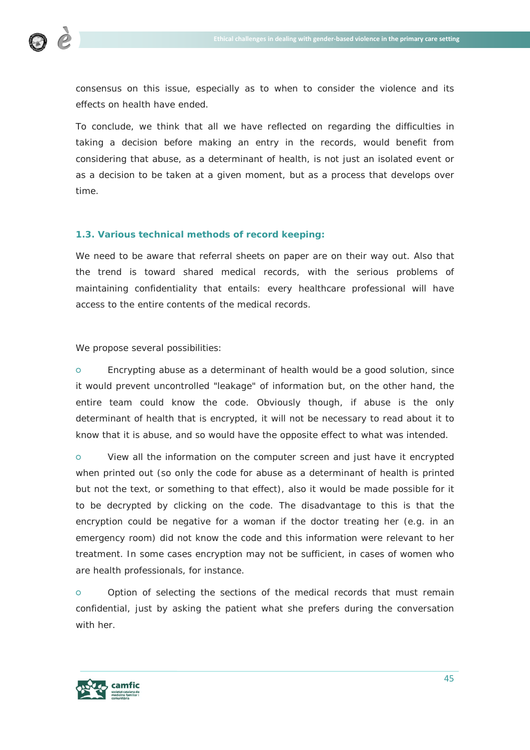

consensus on this issue, especially as to when to consider the violence and its effects on health have ended.

To conclude, we think that all we have reflected on regarding the difficulties in taking a decision before making an entry in the records, would benefit from considering that abuse, as a determinant of health, is not just an isolated event or as a decision to be taken at a given moment, but as a process that develops over time.

#### **1.3. Various technical methods of record keeping:**

We need to be aware that referral sheets on paper are on their way out. Also that the trend is toward shared medical records, with the serious problems of maintaining confidentiality that entails: every healthcare professional will have access to the entire contents of the medical records.

We propose several possibilities:

○ Encrypting abuse as a determinant of health would be a good solution, since it would prevent uncontrolled "leakage" of information but, on the other hand, the entire team could know the code. Obviously though, if abuse is the only determinant of health that is encrypted, it will not be necessary to read about it to know that it is abuse, and so would have the opposite effect to what was intended.

○ View all the information on the computer screen and just have it encrypted when printed out (so only the code for abuse as a determinant of health is printed but not the text, or something to that effect), also it would be made possible for it to be decrypted by clicking on the code. The disadvantage to this is that the encryption could be negative for a woman if the doctor treating her (e.g. in an emergency room) did not know the code and this information were relevant to her treatment. In some cases encryption may not be sufficient, in cases of women who are health professionals, for instance.

○ Option of selecting the sections of the medical records that must remain confidential, just by asking the patient what she prefers during the conversation with her.

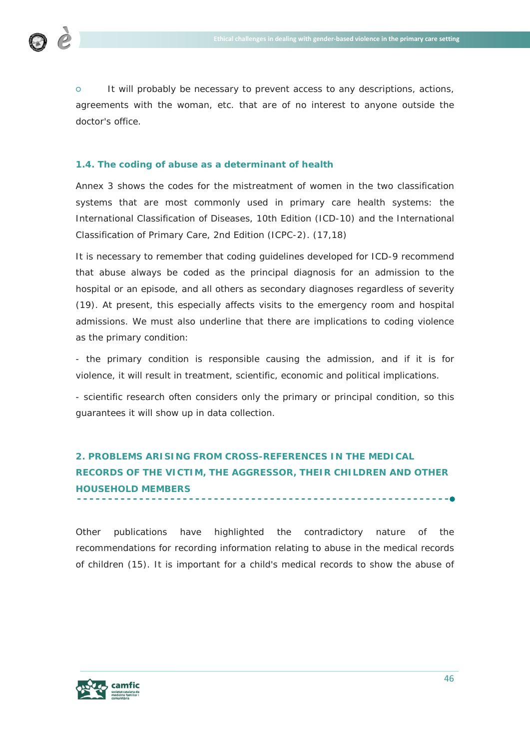

○ It will probably be necessary to prevent access to any descriptions, actions, agreements with the woman, etc. that are of no interest to anyone outside the doctor's office.

# **1.4. The coding of abuse as a determinant of health**

Annex 3 shows the codes for the mistreatment of women in the two classification systems that are most commonly used in primary care health systems: the International Classification of Diseases, 10th Edition (ICD-10) and the International Classification of Primary Care, 2nd Edition (ICPC-2). (17,18)

It is necessary to remember that coding guidelines developed for ICD-9 recommend that abuse always be coded as the principal diagnosis for an admission to the hospital or an episode, and all others as secondary diagnoses regardless of severity (19). At present, this especially affects visits to the emergency room and hospital admissions. We must also underline that there are implications to coding violence as the primary condition:

- the primary condition is responsible causing the admission, and if it is for violence, it will result in treatment, scientific, economic and political implications.

- scientific research often considers only the primary or principal condition, so this guarantees it will show up in data collection.

# **2. PROBLEMS ARISING FROM CROSS-REFERENCES IN THE MEDICAL RECORDS OF THE VICTIM, THE AGGRESSOR, THEIR CHILDREN AND OTHER HOUSEHOLD MEMBERS**

Other publications have highlighted the contradictory nature of the recommendations for recording information relating to abuse in the medical records of children (15). It is important for a child's medical records to show the abuse of

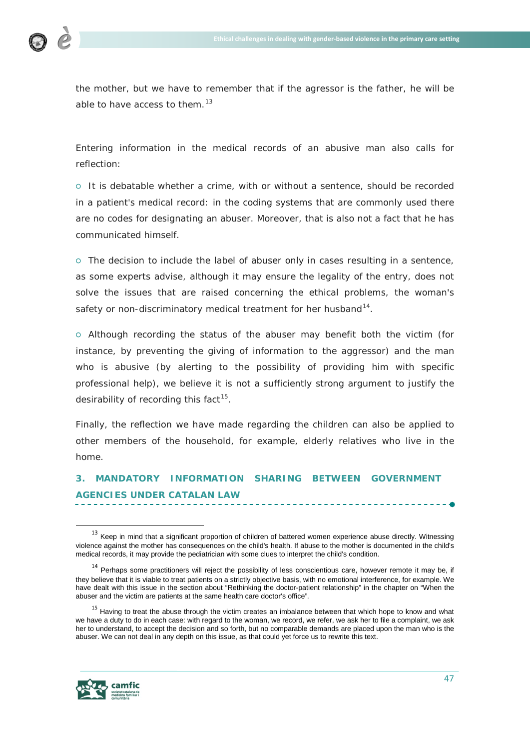

the mother, but we have to remember that if the agressor is the father, he will be able to have access to them. $^{13}$  $^{13}$  $^{13}$ 

Entering information in the medical records of an abusive man also calls for reflection:

○ It is debatable whether a crime, with or without a sentence, should be recorded in a patient's medical record: in the coding systems that are commonly used there are no codes for designating an abuser. Moreover, that is also not a fact that he has communicated himself.

○ The decision to include the label of abuser only in cases resulting in a sentence, as some experts advise, although it may ensure the legality of the entry, does not solve the issues that are raised concerning the ethical problems, the woman's safety or non-discriminatory medical treatment for her husband<sup>14</sup>.

○ Although recording the status of the abuser may benefit both the victim (for instance, by preventing the giving of information to the aggressor) and the man who is abusive (by alerting to the possibility of providing him with specific professional help), we believe it is not a sufficiently strong argument to justify the desirability of recording this fact  $15$ .

Finally, the reflection we have made regarding the children can also be applied to other members of the household, for example, elderly relatives who live in the home.

# **3. MANDATORY INFORMATION SHARING BETWEEN GOVERNMENT AGENCIES UNDER CATALAN LAW**

<span id="page-46-2"></span><sup>&</sup>lt;sup>15</sup> Having to treat the abuse through the victim creates an imbalance between that which hope to know and what we have a duty to do in each case: with regard to the woman, we record, we refer, we ask her to file a complaint, we ask her to understand, to accept the decision and so forth, but no comparable demands are placed upon the man who is the abuser. We can not deal in any depth on this issue, as that could yet force us to rewrite this text.



<span id="page-46-0"></span><sup>&</sup>lt;sup>13</sup> Keep in mind that a significant proportion of children of battered women experience abuse directly. Witnessing violence against the mother has consequences on the child's health. If abuse to the mother is documented in the child's medical records, it may provide the pediatrician with some clues to interpret the child's condition.

<span id="page-46-1"></span><sup>&</sup>lt;sup>14</sup> Perhaps some practitioners will reject the possibility of less conscientious care, however remote it may be, if they believe that it is viable to treat patients on a strictly objective basis, with no emotional interference, for example. We have dealt with this issue in the section about "Rethinking the doctor-patient relationship" in the chapter on "When the abuser and the victim are patients at the same health care doctor's office".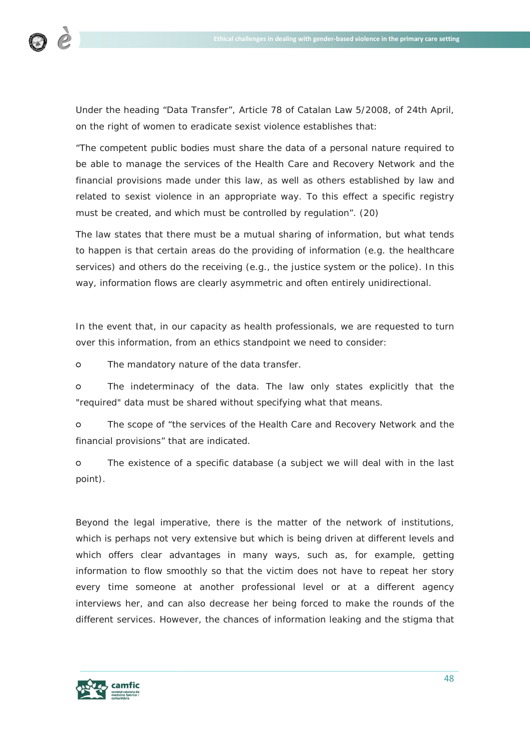

Under the heading *"*Data Transfer", Article 78 of Catalan Law 5/2008, of 24th April, on the right of women to eradicate sexist violence establishes that:

*"The competent public bodies must share the data of a personal nature required to*  be able to manage the services of the Health Care and Recovery Network and the *financial provisions made under this law, as well as others established by law and related to sexist violence in an appropriate way. To this effect a specific registry must be created, and which must be controlled by regulation*". (20)

The law states that there must be a mutual sharing of information, but what tends to happen is that certain areas do the providing of information (e.g. the healthcare services) and others do the receiving (e.g., the justice system or the police). In this way, information flows are clearly asymmetric and often entirely unidirectional.

In the event that, in our capacity as health professionals, we are requested to turn over this information, from an ethics standpoint we need to consider:

○ The mandatory nature of the data transfer.

○ The indeterminacy of the data. The law only states explicitly that the "required" data must be shared without specifying what that means.

○ The scope of "*the services of the Health Care and Recovery Network and the financial provisions*" that are indicated.

○ The existence of a specific database (a subject we will deal with in the last point).

Beyond the legal imperative, there is the matter of the network of institutions, which is perhaps not very extensive but which is being driven at different levels and which offers clear advantages in many ways, such as, for example, getting information to flow smoothly so that the victim does not have to repeat her story every time someone at another professional level or at a different agency interviews her, and can also decrease her being forced to make the rounds of the different services. However, the chances of information leaking and the stigma that

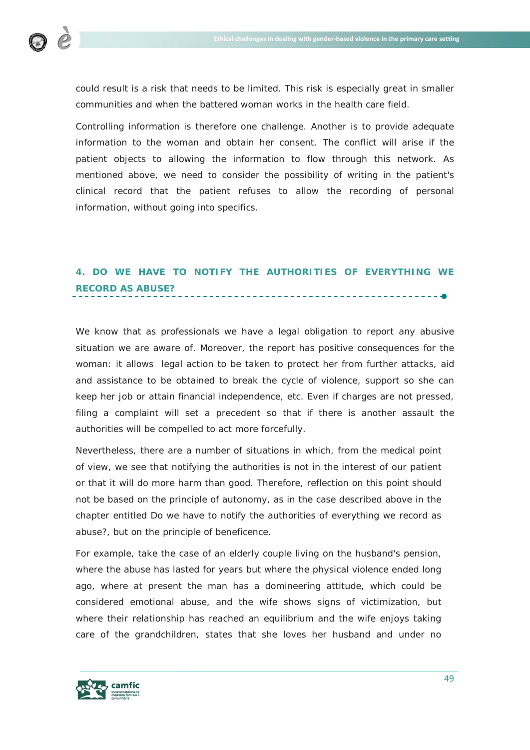

could result is a risk that needs to be limited. This risk is especially great in smaller communities and when the battered woman works in the health care field.

Controlling information is therefore one challenge. Another is to provide adequate information to the woman and obtain her consent. The conflict will arise if the patient objects to allowing the information to flow through this network. As mentioned above, we need to consider the possibility of writing in the patient's clinical record that the patient refuses to allow the recording of personal information, without going into specifics.

# **4. DO WE HAVE TO NOTIFY THE AUTHORITIES OF EVERYTHING WE RECORD AS ABUSE?**

We know that as professionals we have a legal obligation to report any abusive situation we are aware of. Moreover, the report has positive consequences for the woman: it allows legal action to be taken to protect her from further attacks, aid and assistance to be obtained to break the cycle of violence, support so she can keep her job or attain financial independence, etc. Even if charges are not pressed, filing a complaint will set a precedent so that if there is another assault the authorities will be compelled to act more forcefully.

Nevertheless, there are a number of situations in which, from the medical point of view, we see that notifying the authorities is not in the interest of our patient or that it will do more harm than good. Therefore, reflection on this point should not be based on the principle of autonomy, as in the case described above in the chapter entitled *Do we have to notify the authorities of everything we record as abuse?*, but on the principle of beneficence.

For example, take the case of an elderly couple living on the husband's pension, where the abuse has lasted for years but where the physical violence ended long ago, where at present the man has a domineering attitude, which could be considered emotional abuse, and the wife shows signs of victimization, but where their relationship has reached an equilibrium and the wife enjoys taking care of the grandchildren, states that she loves her husband and under no

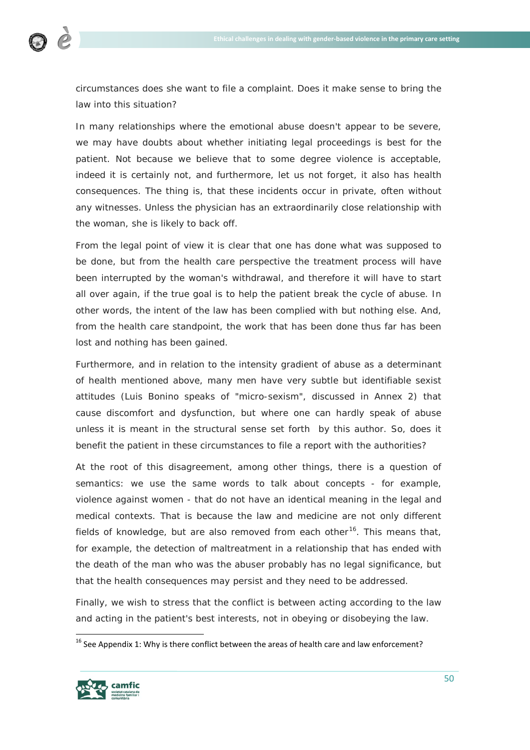

circumstances does she want to file a complaint. Does it make sense to bring the law into this situation?

In many relationships where the emotional abuse doesn't appear to be severe, we may have doubts about whether initiating legal proceedings is best for the patient. Not because we believe that to some degree violence is acceptable, indeed it is certainly not, and furthermore, let us not forget, it also has health consequences. The thing is, that these incidents occur in private, often without any witnesses. Unless the physician has an extraordinarily close relationship with the woman, she is likely to back off.

From the legal point of view it is clear that one has done what was supposed to be done, but from the health care perspective the treatment process will have been interrupted by the woman's withdrawal, and therefore it will have to start all over again, if the true goal is to help the patient break the cycle of abuse. In other words, the intent of the law has been complied with but nothing else. And, from the health care standpoint, the work that has been done thus far has been lost and nothing has been gained.

Furthermore, and in relation to the intensity gradient of abuse as a determinant of health mentioned above, many men have very subtle but identifiable sexist attitudes (Luis Bonino speaks of "micro-sexism", discussed in Annex 2) that cause discomfort and dysfunction, but where one can hardly speak of abuse unless it is meant in the structural sense set forth by this author. So, does it benefit the patient in these circumstances to file a report with the authorities?

At the root of this disagreement, among other things, there is a question of semantics: we use the same words to talk about concepts - for example, violence against women - that do not have an identical meaning in the legal and medical contexts. That is because the law and medicine are not only different fields of knowledge, but are also removed from each other<sup>[16](#page-49-0)</sup>. This means that, for example, the detection of maltreatment in a relationship that has ended with the death of the man who was the abuser probably has no legal significance, but that the health consequences may persist and they need to be addressed.

Finally, we wish to stress that the conflict is between acting according to the law and acting in the patient's best interests, not in obeying or disobeying the law.

<span id="page-49-0"></span> $16$  See Appendix 1: Why is there conflict between the areas of health care and law enforcement?

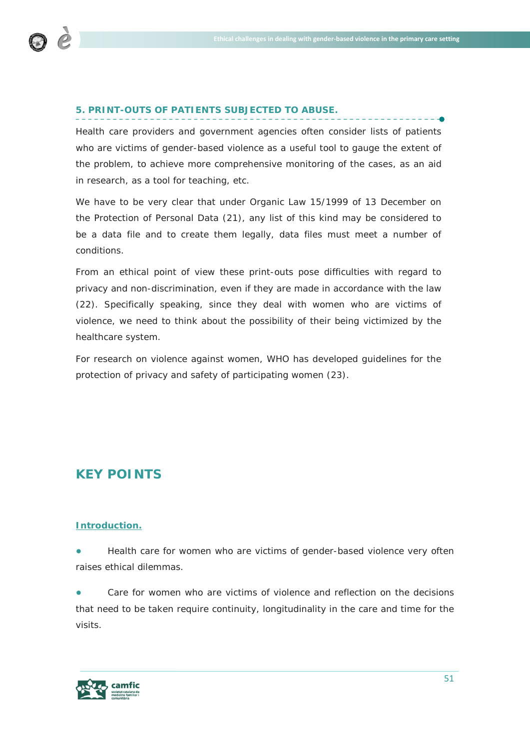

# **5. PRINT-OUTS OF PATIENTS SUBJECTED TO ABUSE.**

Health care providers and government agencies often consider lists of patients who are victims of gender-based violence as a useful tool to gauge the extent of the problem, to achieve more comprehensive monitoring of the cases, as an aid in research, as a tool for teaching, etc.

We have to be very clear that under Organic Law 15/1999 of 13 December on the Protection of Personal Data (21), any list of this kind may be considered to be a data file and to create them legally, data files must meet a number of conditions.

From an ethical point of view these print-outs pose difficulties with regard to privacy and non-discrimination, even if they are made in accordance with the law (22). Specifically speaking, since they deal with women who are victims of violence, we need to think about the possibility of their being victimized by the healthcare system.

For research on violence against women, WHO has developed guidelines for the protection of privacy and safety of participating women (23).

# **KEY POINTS**

#### **Introduction.**

Health care for women who are victims of gender-based violence very often raises ethical dilemmas.

Care for women who are victims of violence and reflection on the decisions that need to be taken require continuity, longitudinality in the care and time for the visits.

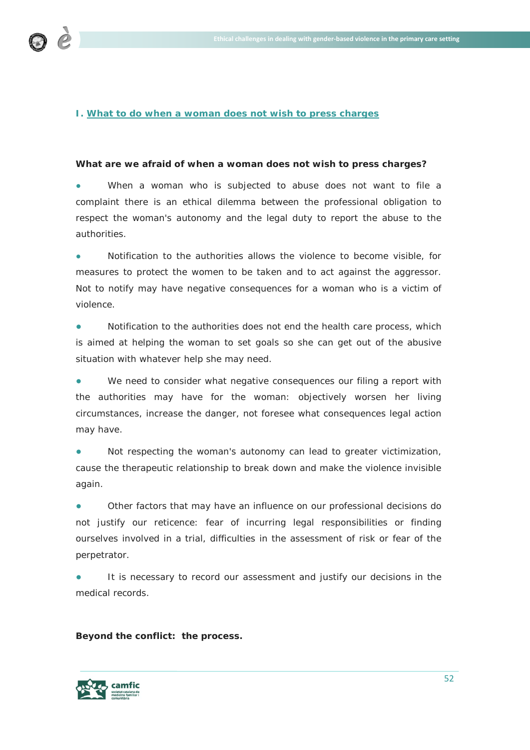

# **I. What to do when a woman does not wish to press charges**

#### **What are we afraid of when a woman does not wish to press charges?**

When a woman who is subjected to abuse does not want to file a complaint there is an ethical dilemma between the professional obligation to respect the woman's autonomy and the legal duty to report the abuse to the authorities.

Notification to the authorities allows the violence to become visible, for measures to protect the women to be taken and to act against the aggressor. Not to notify may have negative consequences for a woman who is a victim of violence.

Notification to the authorities does not end the health care process, which is aimed at helping the woman to set goals so she can get out of the abusive situation with whatever help she may need.

We need to consider what negative consequences our filing a report with the authorities may have for the woman: objectively worsen her living circumstances, increase the danger, not foresee what consequences legal action may have.

Not respecting the woman's autonomy can lead to greater victimization, cause the therapeutic relationship to break down and make the violence invisible again.

Other factors that may have an influence on our professional decisions do not justify our reticence: fear of incurring legal responsibilities or finding ourselves involved in a trial, difficulties in the assessment of risk or fear of the perpetrator.

It is necessary to record our assessment and justify our decisions in the medical records.

**Beyond the conflict: the process.**

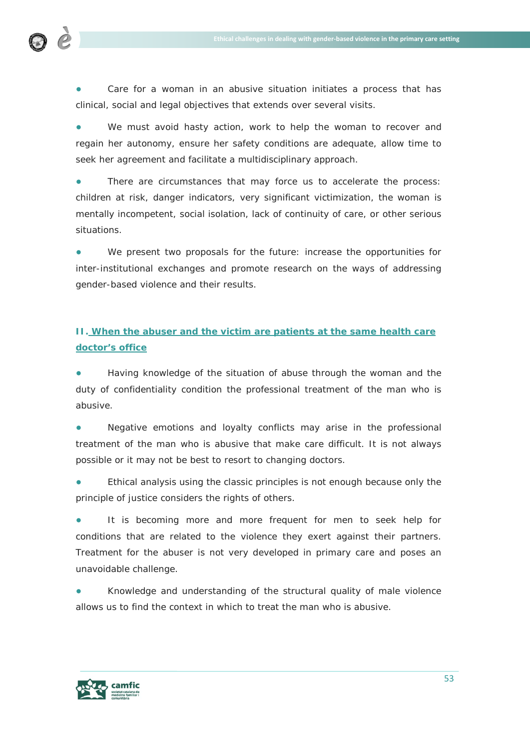

Care for a woman in an abusive situation initiates a process that has clinical, social and legal objectives that extends over several visits.

We must avoid hasty action, work to help the woman to recover and regain her autonomy, ensure her safety conditions are adequate, allow time to seek her agreement and facilitate a multidisciplinary approach.

There are circumstances that may force us to accelerate the process: children at risk, danger indicators, very significant victimization, the woman is mentally incompetent, social isolation, lack of continuity of care, or other serious situations.

We present two proposals for the future: increase the opportunities for inter-institutional exchanges and promote research on the ways of addressing gender-based violence and their results.

# **II. When the abuser and the victim are patients at the same health care doctor's office**

Having knowledge of the situation of abuse through the woman and the duty of confidentiality condition the professional treatment of the man who is abusive.

Negative emotions and loyalty conflicts may arise in the professional treatment of the man who is abusive that make care difficult. It is not always possible or it may not be best to resort to changing doctors.

Ethical analysis using the classic principles is not enough because only the principle of justice considers the rights of others.

It is becoming more and more frequent for men to seek help for conditions that are related to the violence they exert against their partners. Treatment for the abuser is not very developed in primary care and poses an unavoidable challenge.

Knowledge and understanding of the structural quality of male violence allows us to find the context in which to treat the man who is abusive.

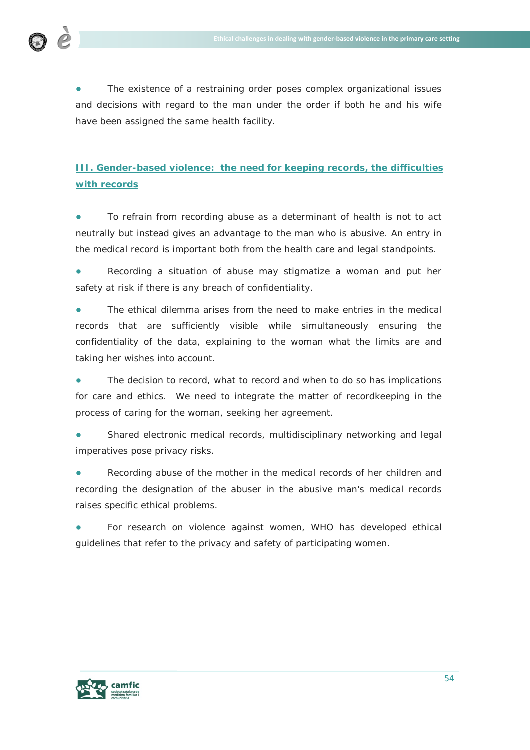

The existence of a restraining order poses complex organizational issues and decisions with regard to the man under the order if both he and his wife have been assigned the same health facility.

# **III. Gender-based violence: the need for keeping records, the difficulties with records**

**●** To refrain from recording abuse as a determinant of health is not to act neutrally but instead gives an advantage to the man who is abusive. An entry in the medical record is important both from the health care and legal standpoints.

**●** Recording a situation of abuse may stigmatize a woman and put her safety at risk if there is any breach of confidentiality.

**●** The ethical dilemma arises from the need to make entries in the medical records that are sufficiently visible while simultaneously ensuring the confidentiality of the data, explaining to the woman what the limits are and taking her wishes into account.

The decision to record, what to record and when to do so has implications for care and ethics. We need to integrate the matter of recordkeeping in the process of caring for the woman, seeking her agreement.

**●** Shared electronic medical records, multidisciplinary networking and legal imperatives pose privacy risks.

**●** Recording abuse of the mother in the medical records of her children and recording the designation of the abuser in the abusive man's medical records raises specific ethical problems.

For research on violence against women, WHO has developed ethical guidelines that refer to the privacy and safety of participating women.

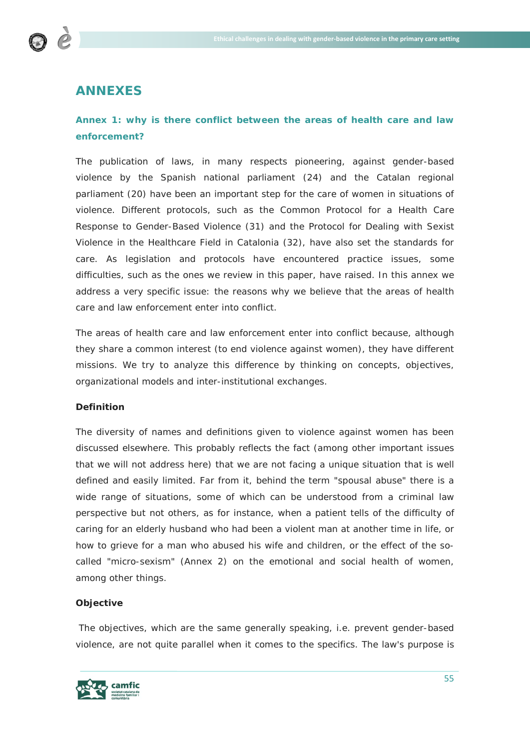

# **ANNEXES**

# **Annex 1: why is there conflict between the areas of health care and law enforcement?**

The publication of laws, in many respects pioneering, against gender-based violence by the Spanish national parliament (24) and the Catalan regional parliament (20) have been an important step for the care of women in situations of violence. Different protocols, such as the Common Protocol for a Health Care Response to Gender-Based Violence (31) and the Protocol for Dealing with Sexist Violence in the Healthcare Field in Catalonia (32), have also set the standards for care. As legislation and protocols have encountered practice issues, some difficulties, such as the ones we review in this paper, have raised. In this annex we address a very specific issue: the reasons why we believe that the areas of health care and law enforcement enter into conflict.

The areas of health care and law enforcement enter into conflict because, although they share a common interest (to end violence against women), they have different missions. We try to analyze this difference by thinking on concepts, objectives, organizational models and inter-institutional exchanges.

# **Definition**

The diversity of names and definitions given to violence against women has been discussed elsewhere. This probably reflects the fact (among other important issues that we will not address here) that we are not facing a unique situation that is well defined and easily limited. Far from it, behind the term "spousal abuse" there is a wide range of situations, some of which can be understood from a criminal law perspective but not others, as for instance, when a patient tells of the difficulty of caring for an elderly husband who had been a violent man at another time in life, or how to grieve for a man who abused his wife and children, or the effect of the socalled "micro-sexism" (Annex 2) on the emotional and social health of women, among other things.

#### **Objective**

The objectives, which are the same generally speaking, i.e. prevent gender-based violence, are not quite parallel when it comes to the specifics. The law's purpose is

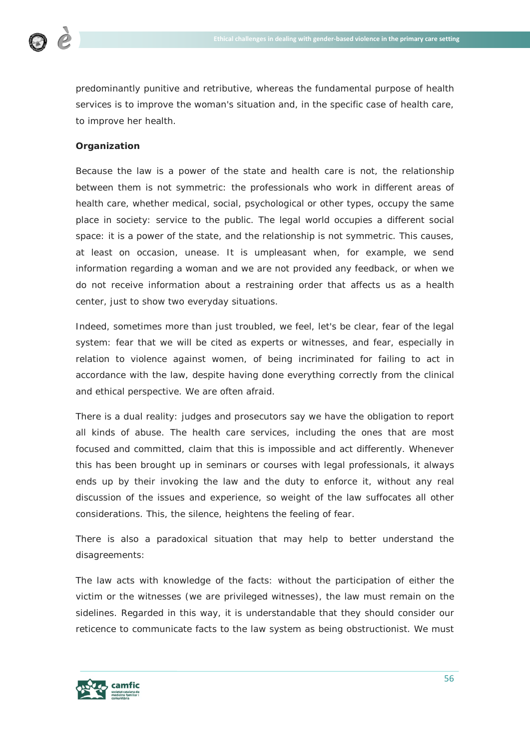

predominantly punitive and retributive, whereas the fundamental purpose of health services is to improve the woman's situation and, in the specific case of health care, to improve her health.

# **Organization**

Because the law *is a power of the state* and health care is not, the relationship between them is not symmetric: the professionals who work in different areas of health care, whether medical, social, psychological or other types, occupy the same place in society: service to the public. The legal world occupies a different social space: it is a power of the state, and the relationship is not symmetric. This causes, at least on occasion, unease. It is umpleasant when, for example, we send information regarding a woman and we are not provided any feedback, or when we do not receive information about a restraining order that affects us as a health center, just to show two everyday situations.

Indeed, sometimes more than just troubled, we feel, let's be clear, fear of the legal system: fear that we will be cited as experts or witnesses, and fear, especially in relation to violence against women, of being incriminated for failing to act in accordance with the law, despite having done everything correctly from the clinical and ethical perspective. We are often afraid.

There is a dual reality: judges and prosecutors say we have the obligation to report all kinds of abuse. The health care services, including the ones that are most focused and committed, claim that this is impossible and act differently. Whenever this has been brought up in seminars or courses with legal professionals, it always ends up by their invoking the law and the duty to enforce it, without any real discussion of the issues and experience, so weight of the law suffocates all other considerations. This, the silence, heightens the feeling of fear.

There is also a paradoxical situation that may help to better understand the disagreements:

The law acts with knowledge of the facts: without the participation of either the victim or the witnesses (we are privileged witnesses), the law must remain on the sidelines. Regarded in this way, it is understandable that they should consider our reticence to communicate facts to the law system as being obstructionist. We must

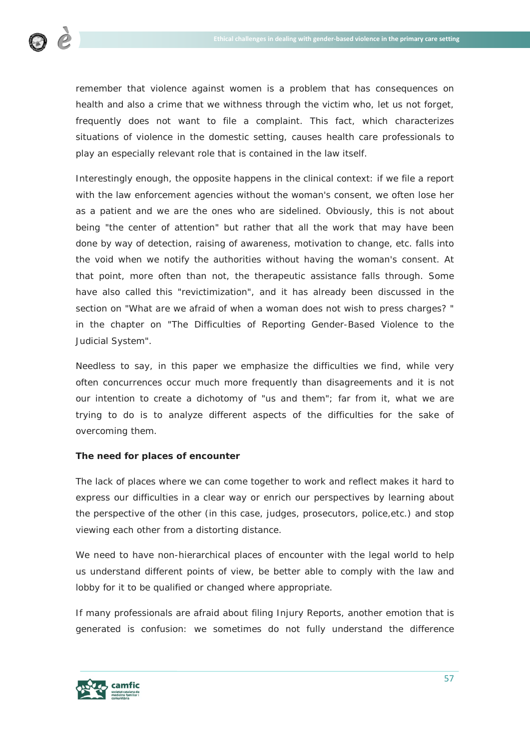

remember that violence against women is a problem that has consequences on health and also a crime that we withness through the victim who, let us not forget, frequently does not want to file a complaint. This fact, which characterizes situations of violence in the domestic setting, causes health care professionals to play an especially relevant role that is contained in the law itself.

Interestingly enough, the opposite happens in the clinical context: if we file a report with the law enforcement agencies without the woman's consent, we often lose her as a patient and we are the ones who are sidelined. Obviously, this is not about being "the center of attention" but rather that all the work that may have been done by way of detection, raising of awareness, motivation to change, etc. falls into the void when we notify the authorities without having the woman's consent. At that point, more often than not, the therapeutic assistance falls through. Some have also called this "revictimization", and it has already been discussed in the section on "What are we afraid of when a woman does not wish to press charges? " in the chapter on "The Difficulties of Reporting Gender-Based Violence to the Judicial System".

Needless to say, in this paper we emphasize the difficulties we find, while very often concurrences occur much more frequently than disagreements and it is not our intention to create a dichotomy of "us and them"; far from it, what we are trying to do is to analyze different aspects of the difficulties for the sake of overcoming them.

# **The need for places of encounter**

The lack of places where we can come together to work and reflect makes it hard to express our difficulties in a clear way or enrich our perspectives by learning about the perspective of the other (in this case, judges, prosecutors, police,etc.) and stop viewing each other from a distorting distance.

We need to have non-hierarchical places of encounter with the legal world to help us understand different points of view, be better able to comply with the law and lobby for it to be qualified or changed where appropriate.

If many professionals are afraid about filing Injury Reports, another emotion that is generated is confusion: we sometimes do not fully understand the difference

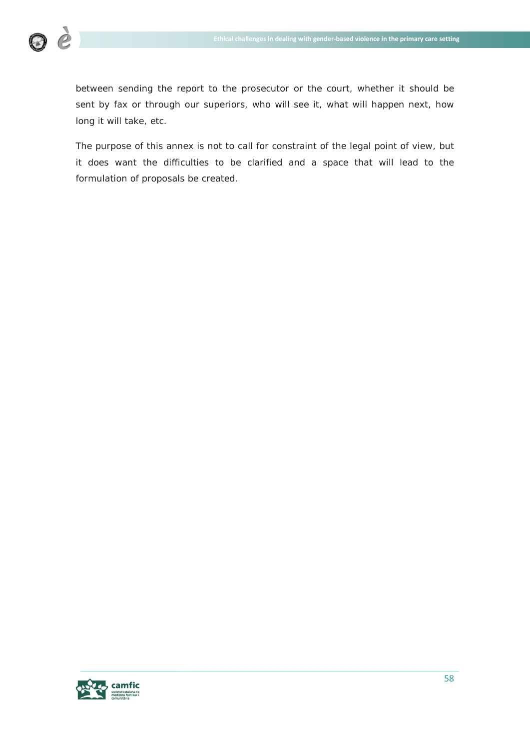

between sending the report to the prosecutor or the court, whether it should be sent by fax or through our superiors, who will see it, what will happen next, how long it will take, etc.

The purpose of this annex is not to call for constraint of the legal point of view, but it does want the difficulties to be clarified and a space that will lead to the formulation of proposals be created.

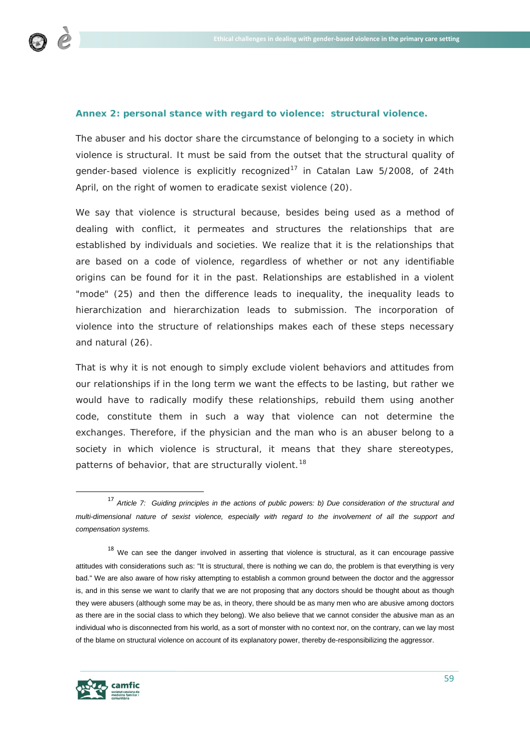

# **Annex 2: personal stance with regard to violence: structural violence.**

The abuser and his doctor share the circumstance of belonging to a society in which violence is structural. It must be said from the outset that the structural quality of gender-based violence is explicitly recognized<sup>[17](#page-58-0)</sup> in *Catalan Law 5/2008, of 24th April, on the right of women to eradicate sexist violence* (20).

We say that violence is structural because, besides being used as a method of dealing with conflict, it permeates and structures the relationships that are established by individuals and societies. We realize that it is the relationships that are based on a code of violence, regardless of whether or not any identifiable origins can be found for it in the past. Relationships are established in a violent "mode" (25) and then the difference leads to inequality, the inequality leads to hierarchization and hierarchization leads to submission. The incorporation of violence into the structure of relationships makes each of these steps necessary and natural (26).

That is why it is not enough to simply exclude violent behaviors and attitudes from our relationships if in the long term we want the effects to be lasting, but rather we would have to radically modify these relationships, rebuild them using another code, constitute them in such a way that violence can not determine the exchanges. Therefore, if the physician and the man who is an abuser belong to a society in which violence is structural, it means that they share stereotypes, patterns of behavior, that are structurally violent.<sup>[18](#page-58-1)</sup>

<span id="page-58-1"></span> $18$  We can see the danger involved in asserting that violence is structural, as it can encourage passive attitudes with considerations such as: "It is structural, there is nothing we can do, the problem is that everything is very bad." We are also aware of how risky attempting to establish a common ground between the doctor and the aggressor is, and in this sense we want to clarify that we are not proposing that any doctors should be thought about as though they were abusers (although some may be as, in theory, there should be as many men who are abusive among doctors as there are in the social class to which they belong). We also believe that we cannot consider the abusive man as an individual who is disconnected from his world, as a sort of monster with no context nor, on the contrary, can we lay most of the blame on structural violence on account of its explanatory power, thereby de-responsibilizing the aggressor.



<span id="page-58-0"></span> <sup>17</sup> *Article 7: Guiding principles in the actions of public powers: b) Due consideration of the structural and multi-dimensional nature of sexist violence, especially with regard to the involvement of all the support and compensation systems.*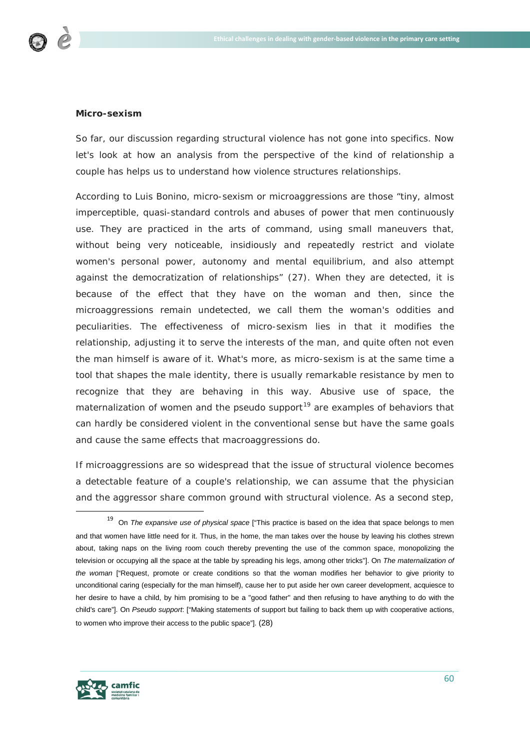

#### **Micro-sexism**

So far, our discussion regarding structural violence has not gone into specifics. Now let's look at how an analysis from the perspective of the kind of relationship a couple has helps us to understand how violence structures relationships.

According to Luis Bonino, micro-sexism or microaggressions are those *"tiny, almost imperceptible, quasi-standard controls and abuses of power that men continuously use. They are practiced in the arts of command, using small maneuvers that, without being very noticeable, insidiously and repeatedly restrict and violate women's personal power, autonomy and mental equilibrium, and also attempt against the democratization of relationships"* (27). When they are detected, it is because of the effect that they have on the woman and then, since the microaggressions remain undetected, we call them the woman's oddities and peculiarities. The effectiveness of micro-sexism lies in that it modifies the relationship, adjusting it to serve the interests of the man, and quite often not even the man himself is aware of it. What's more, as micro-sexism is at the same time a tool that shapes the male identity, there is usually remarkable resistance by men to recognize that they are behaving in this way. Abusive use of space, the maternalization of women and the pseudo support<sup>[19](#page-59-0)</sup> are examples of behaviors that can hardly be considered violent in the conventional sense but have the same goals and cause the same effects that macroaggressions do.

If microaggressions are so widespread that the issue of structural violence becomes a detectable feature of a couple's relationship, we can assume that the physician and the aggressor share common ground with structural violence. As a second step,



<span id="page-59-0"></span> <sup>19</sup> On *The expansive use of physical space* ["This practice is based on the idea that space belongs to men and that women have little need for it. Thus, in the home, the man takes over the house by leaving his clothes strewn about, taking naps on the living room couch thereby preventing the use of the common space, monopolizing the television or occupying all the space at the table by spreading his legs, among other tricks"]. On *The maternalization of the woman* ["Request, promote or create conditions so that the woman modifies her behavior to give priority to unconditional caring (especially for the man himself), cause her to put aside her own career development, acquiesce to her desire to have a child, by him promising to be a "good father" and then refusing to have anything to do with the child's care"]. On *Pseudo support*: ["Making statements of support but failing to back them up with cooperative actions, to women who improve their access to the public space"]. (28)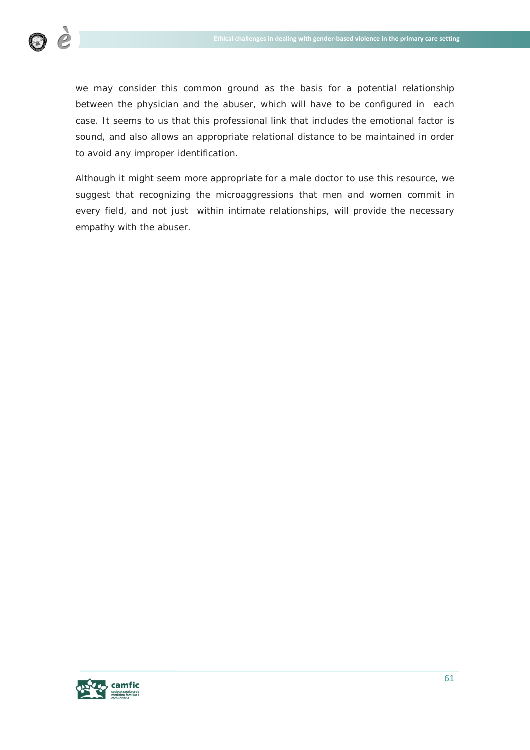

we may consider this common ground as the basis for a potential relationship between the physician and the abuser, which will have to be configured in each case. It seems to us that this professional link that includes the emotional factor is sound, and also allows an appropriate relational distance to be maintained in order to avoid any improper identification.

Although it might seem more appropriate for a male doctor to use this resource, we suggest that recognizing the microaggressions that men and women commit in every field, and not just within intimate relationships, will provide the necessary empathy with the abuser.

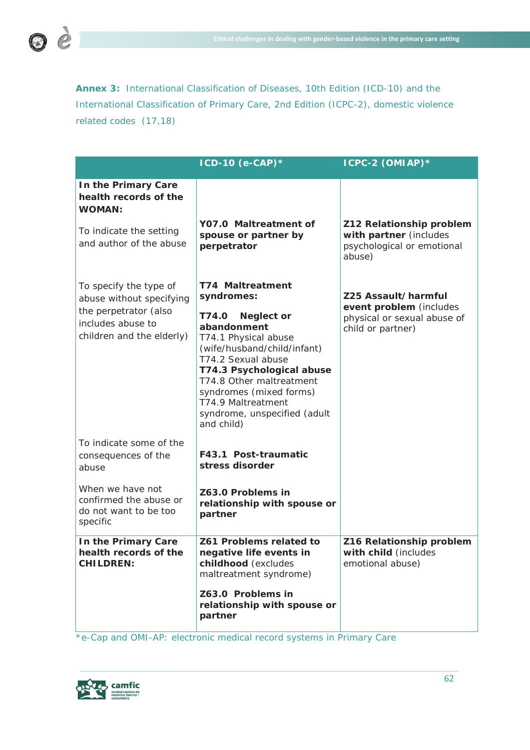**Annex 3:** International Classification of Diseases, 10th Edition (ICD-10) and the International Classification of Primary Care, 2nd Edition (ICPC-2), domestic violence related codes (17,18)

|                                                                                                                               | $ICD-10$ (e-CAP)*                                                                                                                                                                                                                                                                                                       | ICPC-2 (OMIAP)*                                                                                    |
|-------------------------------------------------------------------------------------------------------------------------------|-------------------------------------------------------------------------------------------------------------------------------------------------------------------------------------------------------------------------------------------------------------------------------------------------------------------------|----------------------------------------------------------------------------------------------------|
| In the Primary Care<br>health records of the<br><b>WOMAN:</b>                                                                 |                                                                                                                                                                                                                                                                                                                         |                                                                                                    |
| To indicate the setting<br>and author of the abuse                                                                            | Y07.0 Maltreatment of<br>spouse or partner by<br>perpetrator                                                                                                                                                                                                                                                            | Z12 Relationship problem<br>with partner (includes<br>psychological or emotional<br>abuse)         |
| To specify the type of<br>abuse without specifying<br>the perpetrator (also<br>includes abuse to<br>children and the elderly) | <b>T74 Maltreatment</b><br>syndromes:<br>T74.0<br><b>Neglect or</b><br>abandonment<br>T74.1 Physical abuse<br>(wife/husband/child/infant)<br>T74.2 Sexual abuse<br>T74.3 Psychological abuse<br>T74.8 Other maltreatment<br>syndromes (mixed forms)<br>T74.9 Maltreatment<br>syndrome, unspecified (adult<br>and child) | Z25 Assault/harmful<br>event problem (includes<br>physical or sexual abuse of<br>child or partner) |
| To indicate some of the<br>consequences of the<br>abuse                                                                       | F43.1 Post-traumatic<br>stress disorder                                                                                                                                                                                                                                                                                 |                                                                                                    |
| When we have not<br>confirmed the abuse or<br>do not want to be too<br>specific                                               | Z63.0 Problems in<br>relationship with spouse or<br>partner                                                                                                                                                                                                                                                             |                                                                                                    |
| In the Primary Care<br>health records of the<br><b>CHILDREN:</b>                                                              | Z61 Problems related to<br>negative life events in<br>childhood (excludes<br>maltreatment syndrome)                                                                                                                                                                                                                     | Z16 Relationship problem<br>with child (includes<br>emotional abuse)                               |
|                                                                                                                               | Z63.0 Problems in<br>relationship with spouse or<br>partner                                                                                                                                                                                                                                                             |                                                                                                    |

*\*e-Cap and OMI-AP: electronic medical record systems in Primary Care*



 $\bigcirc$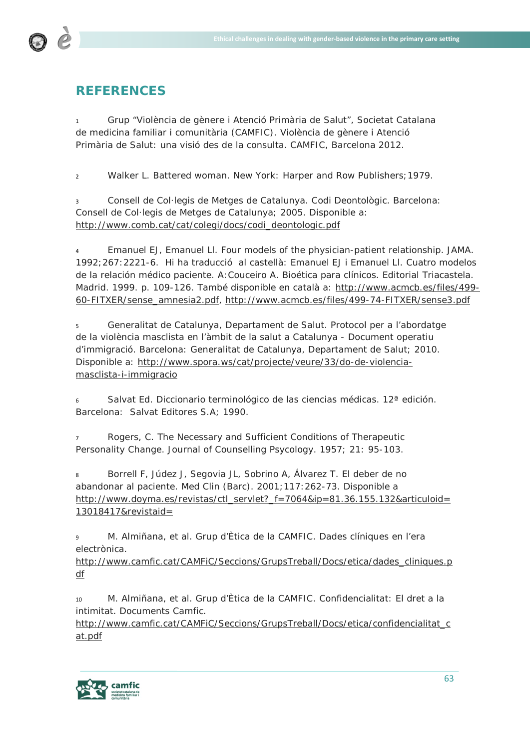

# **REFERENCES**

<sup>1</sup> Grup "Violència de gènere i Atenció Primària de Salut", Societat Catalana de medicina familiar i comunitària (CAMFIC). Violència de gènere i Atenció Primària de Salut: una visió des de la consulta. CAMFIC, Barcelona 2012.

<sup>2</sup> Walker L. Battered woman. New York: Harper and Row Publishers;1979.

<sup>3</sup> Consell de Col·legis de Metges de Catalunya. Codi Deontològic. Barcelona: Consell de Col·legis de Metges de Catalunya; 2005. Disponible a: [http://www.comb.cat/cat/colegi/docs/codi\\_deontologic.pdf](http://www.comb.cat/cat/colegi/docs/codi_deontologic.pdf)

<sup>4</sup> Emanuel EJ, Emanuel Ll. Four models of the physician-patient relationship. JAMA. 1992;267:2221-6. Hi ha traducció al castellà: Emanuel EJ i Emanuel Ll. Cuatro modelos de la relación médico paciente. A:Couceiro A. Bioética para clínicos. Editorial Triacastela. Madrid. 1999. p. 109-126. També disponible en català a: [http://www.acmcb.es/files/499-](http://www.acmcb.es/files/499-60-FITXER/sense_amnesia2.pdf) [60-FITXER/sense\\_amnesia2.pdf,](http://www.acmcb.es/files/499-60-FITXER/sense_amnesia2.pdf)<http://www.acmcb.es/files/499-74-FITXER/sense3.pdf>

<sup>5</sup> Generalitat de Catalunya, Departament de Salut. Protocol per a l'abordatge de la violència masclista en l'àmbit de la salut a Catalunya - Document operatiu d'immigració. Barcelona: Generalitat de Catalunya, Departament de Salut; 2010. Disponible a: [http://www.spora.ws/cat/projecte/veure/33/do-de-violencia](http://www.spora.ws/cat/projecte/veure/33/do-de-violencia-masclista-i-immigracio)[masclista-i-immigracio](http://www.spora.ws/cat/projecte/veure/33/do-de-violencia-masclista-i-immigracio)

Salvat Ed. Diccionario terminológico de las ciencias médicas. 12<sup>ª</sup> edición. Barcelona: Salvat Editores S.A; 1990.

<sup>7</sup> Rogers, C. The Necessary and Sufficient Conditions of Therapeutic Personality Change. Journal of Counselling Psycology. 1957; 21: 95-103.

<sup>8</sup> Borrell F, Júdez J, Segovia JL, Sobrino A, Álvarez T*.* El deber de no abandonar al paciente. Med Clin (Barc). 2001;117:262-73. Disponible [a](http://www.doyma.es/revistas/ctl_servlet?_f=7064&ip=81.36.155.132&articuloid=13018417&revistaid=2) [http://www.doyma.es/revistas/ctl\\_servlet?\\_f=7064&ip=81.36.155.132&articuloid=](http://www.doyma.es/revistas/ctl_servlet?_f=7064&ip=81.36.155.132&articuloid=13018417&revistaid=) [13018417&revistaid=](http://www.doyma.es/revistas/ctl_servlet?_f=7064&ip=81.36.155.132&articuloid=13018417&revistaid=)

<sup>9</sup> M. Almiñana, et al. Grup d'Ètica de la CAMFIC. Dades clíniques en l'era electrònica.

[http://www.camfic.cat/CAMFiC/Seccions/GrupsTreball/Docs/etica/dades\\_cliniques.p](http://www.camfic.cat/CAMFiC/Seccions/GrupsTreball/Docs/etica/dades_cliniques.pdf) [df](http://www.camfic.cat/CAMFiC/Seccions/GrupsTreball/Docs/etica/dades_cliniques.pdf)

<sup>10</sup> M. Almiñana, et al. Grup d'Ètica de la CAMFIC. Confidencialitat: El dret a la intimitat. Documents Camfic.

[http://www.camfic.cat/CAMFiC/Seccions/GrupsTreball/Docs/etica/confidencialitat\\_c](http://www.camfic.cat/CAMFiC/Seccions/GrupsTreball/Docs/etica/confidencialitat_cat.pdf) [at.pdf](http://www.camfic.cat/CAMFiC/Seccions/GrupsTreball/Docs/etica/confidencialitat_cat.pdf)

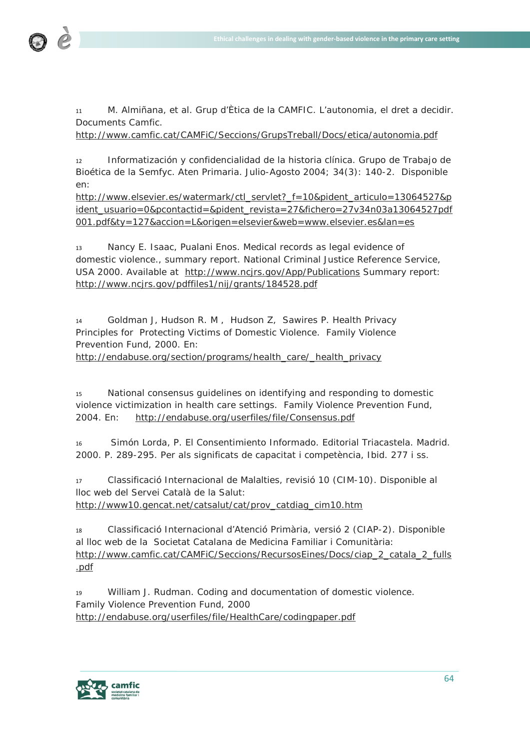

<sup>11</sup> M. Almiñana, et al. Grup d'Ètica de la CAMFIC. L'autonomia, el dret a decidir. Documents Camfic.

<http://www.camfic.cat/CAMFiC/Seccions/GrupsTreball/Docs/etica/autonomia.pdf>

<sup>12</sup> Informatización y confidencialidad de la historia clínica. Grupo de Trabajo de Bioética de la Semfyc. Aten Primaria. Julio-Agosto 2004; 34(3): 140-2. Disponible en:

[http://www.elsevier.es/watermark/ctl\\_servlet?\\_f=10&pident\\_articulo=13064527&p](http://www.elsevier.es/watermark/ctl_servlet?_f=10&pident_articulo=13064527&pident_usuario=0&pcontactid=&pident_revista=27&fichero=27v34n03a13064527pdf001.pdf&ty=127&accion=L&origen=elsevier&web=www.elsevier.es&lan=es) [ident\\_usuario=0&pcontactid=&pident\\_revista=27&fichero=27v34n03a13064527pdf](http://www.elsevier.es/watermark/ctl_servlet?_f=10&pident_articulo=13064527&pident_usuario=0&pcontactid=&pident_revista=27&fichero=27v34n03a13064527pdf001.pdf&ty=127&accion=L&origen=elsevier&web=www.elsevier.es&lan=es) [001.pdf&ty=127&accion=L&origen=elsevier&web=www.elsevier.es&lan=es](http://www.elsevier.es/watermark/ctl_servlet?_f=10&pident_articulo=13064527&pident_usuario=0&pcontactid=&pident_revista=27&fichero=27v34n03a13064527pdf001.pdf&ty=127&accion=L&origen=elsevier&web=www.elsevier.es&lan=es)

<sup>13</sup> Nancy E. Isaac, Pualani Enos. Medical records as legal evidence of domestic violence., summary report. National Criminal Justice Reference Service, USA 2000. Available at <http://www.ncjrs.gov/App/Publications> Summary report: <http://www.ncjrs.gov/pdffiles1/nij/grants/184528.pdf>

<sup>14</sup> Goldman J, Hudson R. M , Hudson Z, Sawires P. Health Privacy Principles for Protecting Victims of Domestic Violence. Family Violence Prevention Fund, 2000. En: [http://endabuse.org/section/programs/health\\_care/\\_health\\_privacy](http://endabuse.org/section/programs/health_care/_health_privacy)

<sup>15</sup> National consensus guidelines on identifying and responding to domestic violence victimization in health care settings. Family Violence Prevention Fund, 2004. En: <http://endabuse.org/userfiles/file/Consensus.pdf>

<sup>16</sup> Simón Lorda, P. El Consentimiento Informado. Editorial Triacastela. Madrid. 2000. P. 289-295. Per als significats de capacitat i competència, *Ibid.* 277 i ss.

<sup>17</sup> Classificació Internacional de Malalties, revisió 10 (CIM-10). Disponible al lloc web del Servei Català de la Salut:

[http://www10.gencat.net/catsalut/cat/prov\\_catdiag\\_cim10.htm](http://www10.gencat.net/catsalut/cat/prov_catdiag_cim10.htm)

<sup>18</sup> Classificació Internacional d'Atenció Primària, versió 2 (CIAP-2). Disponible al lloc web de la Societat Catalana de Medicina Familiar i Comunitària: [http://www.camfic.cat/CAMFiC/Seccions/RecursosEines/Docs/ciap\\_2\\_catala\\_2\\_fulls](http://www.camfic.cat/CAMFiC/Seccions/RecursosEines/Docs/ciap_2_catala_2_fulls.pdf) [.pdf](http://www.camfic.cat/CAMFiC/Seccions/RecursosEines/Docs/ciap_2_catala_2_fulls.pdf)

<sup>19</sup> William J. Rudman. Coding and documentation of domestic violence. Family Violence Prevention Fund, 2000 <http://endabuse.org/userfiles/file/HealthCare/codingpaper.pdf>

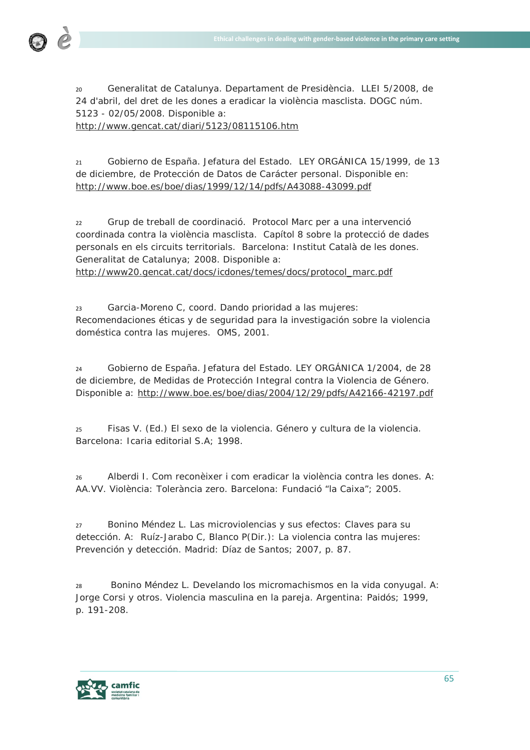

<sup>20</sup> Generalitat de Catalunya. Departament de Presidència. LLEI 5/2008, de 24 d'abril, del dret de les dones a eradicar la violència masclista. DOGC núm. 5123 - 02/05/2008. Disponible a:

<http://www.gencat.cat/diari/5123/08115106.htm>

<sup>21</sup> Gobierno de España. Jefatura del Estado. LEY ORGÁNICA 15/1999, de 13 de diciembre, de Protección de Datos de Carácter personal. Disponible en: <http://www.boe.es/boe/dias/1999/12/14/pdfs/A43088-43099.pdf>

<sup>22</sup> Grup de treball de coordinació. Protocol Marc per a una intervenció coordinada contra la violència masclista. Capítol 8 sobre la protecció de dades personals en els circuits territorials. Barcelona: Institut Català de les dones. Generalitat de Catalunya; 2008. Disponible a:

[http://www20.gencat.cat/docs/icdones/temes/docs/protocol\\_marc.pdf](http://www20.gencat.cat/docs/icdones/temes/docs/protocol_marc.pdf)

<sup>23</sup> Garcia-Moreno C, coord. Dando prioridad a las mujeres: Recomendaciones éticas y de seguridad para la investigación sobre la violencia doméstica contra las mujeres. OMS, 2001.

<sup>24</sup> Gobierno de España. Jefatura del Estado. LEY ORGÁNICA 1/2004, de 28 de diciembre, de Medidas de Protección Integral contra la Violencia de Género. Disponible a:<http://www.boe.es/boe/dias/2004/12/29/pdfs/A42166-42197.pdf>

<sup>25</sup> Fisas V. (Ed.) El sexo de la violencia. Género y cultura de la violencia. Barcelona: Icaria editorial S.A; 1998.

<sup>26</sup> Alberdi I. *Com reconèixer i com eradicar la violència contra les dones.* A: AA.VV. *Violència: Tolerància zero.* Barcelona: Fundació "la Caixa"; 2005.

<sup>27</sup> Bonino Méndez L. Las microviolencias y sus efectos: Claves para su detección. A: Ruíz-Jarabo C, Blanco P(Dir.): La violencia contra las mujeres: Prevención y detección. Madrid: Díaz de Santos; 2007, p. 87.

<sup>28</sup> Bonino Méndez L. Develando los micromachismos en la vida conyugal. A: Jorge Corsi y otros. Violencia masculina en la pareja. Argentina: Paidós; 1999, p. 191-208.